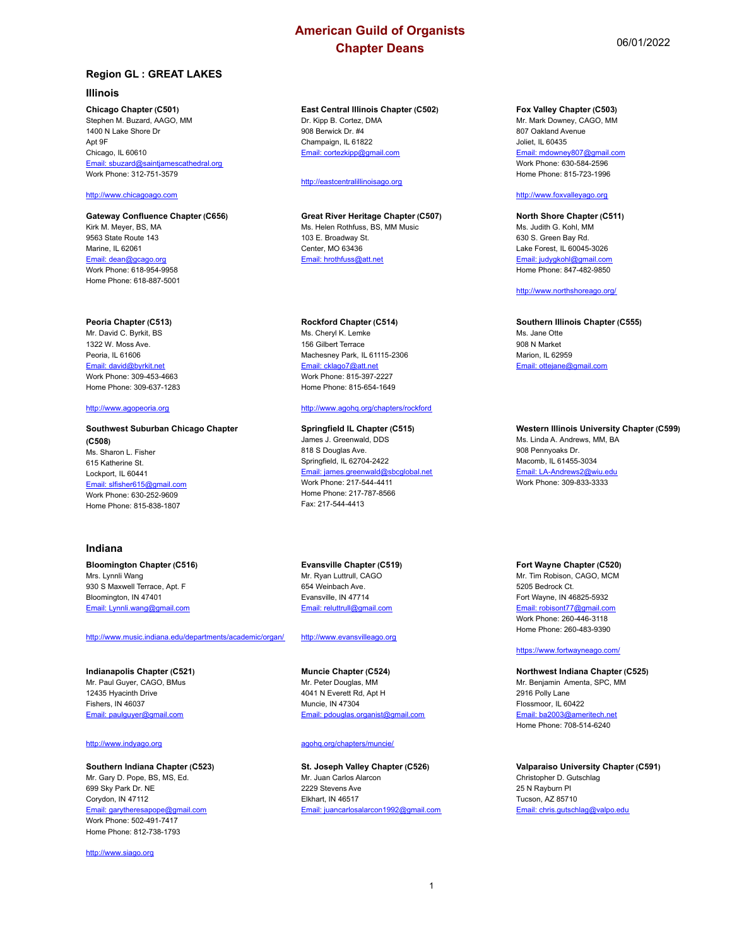## **Region GL : GREAT LAKES**

#### **Illinois**

#### **Chicago Chapter (C501)**

Stephen M. Buzard, AAGO, MM 1400 N Lake Shore Dr Apt 9F Chicago, IL 60610 Email: sbuzard@saintjamescathedral.org Work Phone: 312-751-3579

## <http://www.chicagoago.com>

#### **Gateway Confluence Chapter (C656)** Kirk M. Meyer, BS, MA 9563 State Route 143 Marine, IL 62061 Email: dean@gcago.org Work Phone: 618-954-9958

#### **Peoria Chapter (C513)**

Home Phone: 618-887-5001

Mr. David C. Byrkit, BS 1322 W. Moss Ave. Peoria, IL 61606 Email: david@byrkit.net Work Phone: 309-453-4663 Home Phone: 309-637-1283

## <http://www.agopeoria.org>

#### **Southwest Suburban Chicago Chapter (C508)** Ms. Sharon L. Fisher 615 Katherine St. Lockport, IL 60441 Email: slfisher615@gmail.com Work Phone: 630-252-9609 Home Phone: 815-838-1807

### **Indiana**

#### **Bloomington Chapter (C516)** Mrs. Lynnli Wang 930 S Maxwell Terrace, Apt. F Bloomington, IN 47401 Email: Lynnli.wang@gmail.com

#### <http://www.music.indiana.edu/departments/academic/organ/>

**Indianapolis Chapter (C521)** Mr. Paul Guyer, CAGO, BMus 12435 Hyacinth Drive Fishers, IN 46037 Email: paulguyer@gmail.com

#### <http://www.indyago.org>

#### **Southern Indiana Chapter (C523)** Mr. Gary D. Pope, BS, MS, Ed. 699 Sky Park Dr. NE Corydon, IN 47112 Email: garytheresapope@gmail.com Work Phone: 502-491-7417 Home Phone: 812-738-1793

<http://www.siago.org>

## **East Central Illinois Chapter (C502)**

Dr. Kipp B. Cortez, DMA 908 Berwick Dr. #4 Champaign, IL 61822 Email: cortezkipp@gmail.com

#### <http://eastcentralillinoisago.org>

#### **Great River Heritage Chapter (C507)** Ms. Helen Rothfuss, BS, MM Music 103 E. Broadway St. Center, MO 63436

#### **Rockford Chapter (C514)**

Email: hrothfuss@att.net

Ms. Cheryl K. Lemke 156 Gilbert Terrace Machesney Park, IL 61115-2306 Email: cklago7@att.net Work Phone: 815-397-2227 Home Phone: 815-654-1649

## <http://www.agohq.org/chapters/rockford>

#### **Springfield IL Chapter (C515)** James J. Greenwald, DDS 818 S Douglas Ave. Springfield, IL 62704-2422 Email: james.greenwald@sbcglobal.net Work Phone: 217-544-4411 Home Phone: 217-787-8566 Fax: 217-544-4413

#### **Evansville Chapter (C519)** Mr. Ryan Luttrull, CAGO 654 Weinbach Ave. Evansville, IN 47714 Email: reluttrull@gmail.com

<http://www.evansvilleago.org>

#### **Muncie Chapter (C524)** Mr. Peter Douglas, MM 4041 N Everett Rd, Apt H Muncie, IN 47304 Email: pdouglas.organist@gmail.com

#### agohq.org/chapters/muncie/

**St. Joseph Valley Chapter (C526)** Mr. Juan Carlos Alarcon 2229 Stevens Ave Elkhart, IN 46517 Email: juancarlosalarcon1992@gmail.com

#### **Fox Valley Chapter (C503)**

Mr. Mark Downey, CAGO, MM 807 Oakland Avenue Joliet, IL 60435 Email: mdowney807@gmail.com Work Phone: 630-584-2596 Home Phone: 815-723-1996

### <http://www.foxvalleyago.org>

**North Shore Chapter (C511)** Ms. Judith G. Kohl, MM 630 S. Green Bay Rd. Lake Forest, IL 60045-3026 Email: judygkohl@gmail.com Home Phone: 847-482-9850

#### <http://www.northshoreago.org/>

#### **Southern Illinois Chapter (C555)** Ms. Jane Otte

908 N Market Marion, IL 62959 Email: ottejane@gmail.com

#### **Western Illinois University Chapter (C599)**

Ms. Linda A. Andrews, MM, BA 908 Pennyoaks Dr. Macomb, IL 61455-3034 Email: LA-Andrews2@wiu.edu Work Phone: 309-833-3333

#### **Fort Wayne Chapter (C520)**

Mr. Tim Robison, CAGO, MCM 5205 Bedrock Ct. Fort Wayne, IN 46825-5932 Email: robisont77@gmail.com Work Phone: 260-446-3118 Home Phone: 260-483-9390

#### <https://www.fortwayneago.com/>

**Northwest Indiana Chapter (C525)** Mr. Benjamin Amenta, SPC, MM 2916 Polly Lane Flossmoor, IL 60422 Email: ba2003@ameritech.net Home Phone: 708-514-6240

**Valparaiso University Chapter (C591)** Christopher D. Gutschlag 25 N Rayburn Pl Tucson, AZ 85710 Email: chris.gutschlag@valpo.edu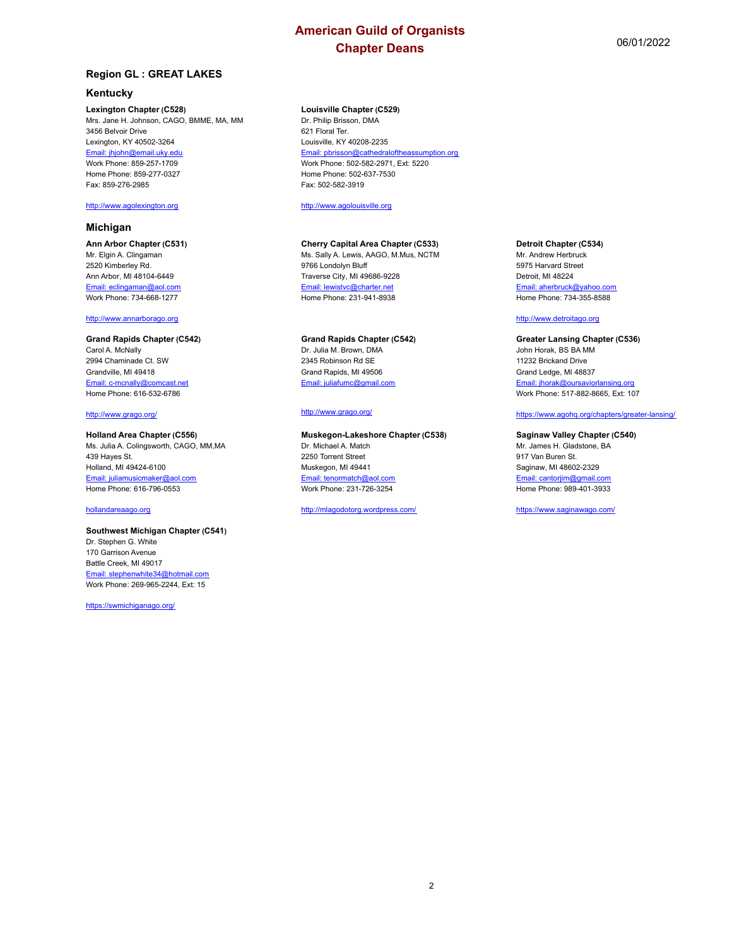## **Region GL : GREAT LAKES**

## **Kentucky**

**Lexington Chapter (C528)** Mrs. Jane H. Johnson, CAGO, BMME, MA, MM 3456 Belvoir Drive Lexington, KY 40502-3264 Email: jhjohn@email.uky.edu Work Phone: 859-257-1709 Home Phone: 859-277-0327 Fax: 859-276-2985

## <http://www.agolexington.org>

## **Michigan**

**Ann Arbor Chapter (C531)** Mr. Elgin A. Clingaman 2520 Kimberley Rd. Ann Arbor, MI 48104-6449 Email: eclingaman@aol.com Work Phone: 734-668-1277

#### <http://www.annarborago.org>

#### **Grand Rapids Chapter (C542)** Carol A. McNally 2994 Chaminade Ct. SW Grandville, MI 49418 Email: c-mcnally@comcast.net Home Phone: 616-532-6786

#### [http://www.grago.org/](http://www.grago.org/
)

#### **Holland Area Chapter (C556)**

Ms. Julia A. Colingsworth, CAGO, MM,MA 439 Hayes St. Holland, MI 49424-6100 Email: juliamusicmaker@aol.com Home Phone: 616-796-0553

## hollandareaago.org

#### **Southwest Michigan Chapter (C541)** Dr. Stephen G. White 170 Garrison Avenue Battle Creek, MI 49017 Email: stephenwhite34@hotmail.com Work Phone: 269-965-2244, Ext: 15

<https://swmichiganago.org/>

#### **Louisville Chapter (C529)** Dr. Philip Brisson, DMA

621 Floral Ter. Louisville, KY 40208-2235 Email: pbrisson@cathedraloftheassumption.org Work Phone: 502-582-2971, Ext: 5220 Home Phone: 502-637-7530 Fax: 502-582-3919

<http://www.agolouisville.org>

## **Cherry Capital Area Chapter (C533)**

Ms. Sally A. Lewis, AAGO, M.Mus, NCTM 9766 Londolyn Bluff Traverse City, MI 49686-9228 Email: lewistvc@charter.net Home Phone: 231-941-8938

#### **Grand Rapids Chapter (C542)**

Dr. Julia M. Brown, DMA 2345 Robinson Rd SE Grand Rapids, MI 49506 Email: juliafumc@gmail.com

#### [http://www.grago.org/](http://www.grago.org/
)

#### **Muskegon-Lakeshore Chapter (C538)** Dr. Michael A. Match 2250 Torrent Street Muskegon, MI 49441 Email: tenormatch@aol.com Work Phone: 231-726-3254

## <http://mlagodotorg.wordpress.com/>

#### **Detroit Chapter (C534)**

Mr. Andrew Herbruck 5975 Harvard Street Detroit, MI 48224 Email: aherbruck@yahoo.com Home Phone: 734-355-8588

#### <http://www.detroitago.org>

#### **Greater Lansing Chapter (C536)** John Horak, BS BA MM 11232 Brickand Drive Grand Ledge, MI 48837 Email: jhorak@oursaviorlansing.org Work Phone: 517-882-8665, Ext: 107

## <https://www.agohq.org/chapters/greater-lansing/>

#### **Saginaw Valley Chapter (C540)**

Mr. James H. Gladstone, BA 917 Van Buren St. Saginaw, MI 48602-2329 Email: cantorjim@gmail.com Home Phone: 989-401-3933

<https://www.saginawago.com/>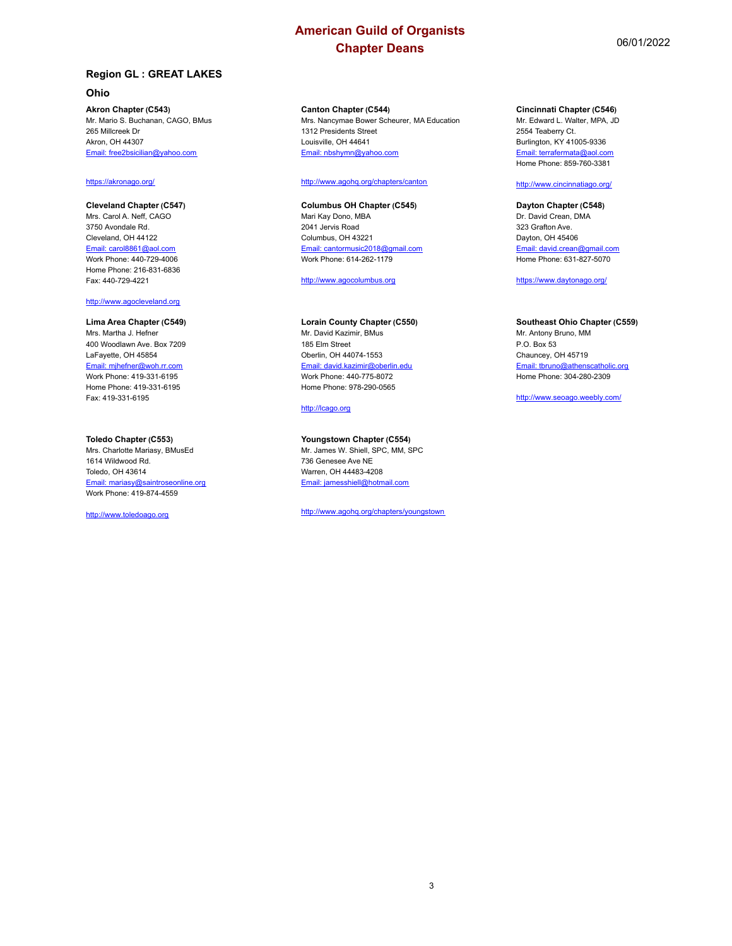## **Ohio**

**Akron Chapter (C543)** Mr. Mario S. Buchanan, CAGO, BMus 265 Millcreek Dr Akron, OH 44307 Email: free2bsicilian@yahoo.com

## <https://akronago.org/>

**Cleveland Chapter (C547)** Mrs. Carol A. Neff, CAGO 3750 Avondale Rd. Cleveland, OH 44122 Email: carol8861@aol.com Work Phone: 440-729-4006 Home Phone: 216-831-6836 Fax: 440-729-4221

#### <http://www.agocleveland.org>

**Lima Area Chapter (C549)** Mrs. Martha J. Hefner 400 Woodlawn Ave. Box 7209 LaFayette, OH 45854 Email: mjhefner@woh.rr.com Work Phone: 419-331-6195 Home Phone: 419-331-6195 Fax: 419-331-6195

#### **Toledo Chapter (C553)**

Mrs. Charlotte Mariasy, BMusEd 1614 Wildwood Rd. Toledo, OH 43614 Email: mariasy@saintroseonline.org Work Phone: 419-874-4559

<http://www.toledoago.org>

## **Canton Chapter (C544)**

Mrs. Nancymae Bower Scheurer, MA Education 1312 Presidents Street Louisville, OH 44641 Email: nbshymn@yahoo.com

#### <http://www.agohq.org/chapters/canton>

### **Columbus OH Chapter (C545)**

Mari Kay Dono, MBA 2041 Jervis Road Columbus, OH 43221 Email: cantormusic2018@gmail.com Work Phone: 614-262-1179

<http://www.agocolumbus.org>

### **Lorain County Chapter (C550)**

Mr. David Kazimir, BMus 185 Elm Street Oberlin, OH 44074-1553 Email: david.kazimir@oberlin.edu Work Phone: 440-775-8072 Home Phone: 978-290-0565

## <http://lcago.org>

#### **Youngstown Chapter (C554)**

Mr. James W. Shiell, SPC, MM, SPC 736 Genesee Ave NE Warren, OH 44483-4208 Email: jamesshiell@hotmail.com

<http://www.agohq.org/chapters/youngstown>

## **Cincinnati Chapter (C546)**

Mr. Edward L. Walter, MPA, JD 2554 Teaberry Ct. Burlington, KY 41005-9336 Email: terrafermata@aol.com Home Phone: 859-760-3381

#### <http://www.cincinnatiago.org/>

**Dayton Chapter (C548)** Dr. David Crean, DMA 323 Grafton Ave. Dayton, OH 45406 Email: david.crean@gmail.com Home Phone: 631-827-5070

<https://www.daytonago.org/>

## **Southeast Ohio Chapter (C559)**

Mr. Antony Bruno, MM P.O. Box 53 Chauncey, OH 45719 Email: tbruno@athenscatholic.org Home Phone: 304-280-2309

<http://www.seoago.weebly.com/>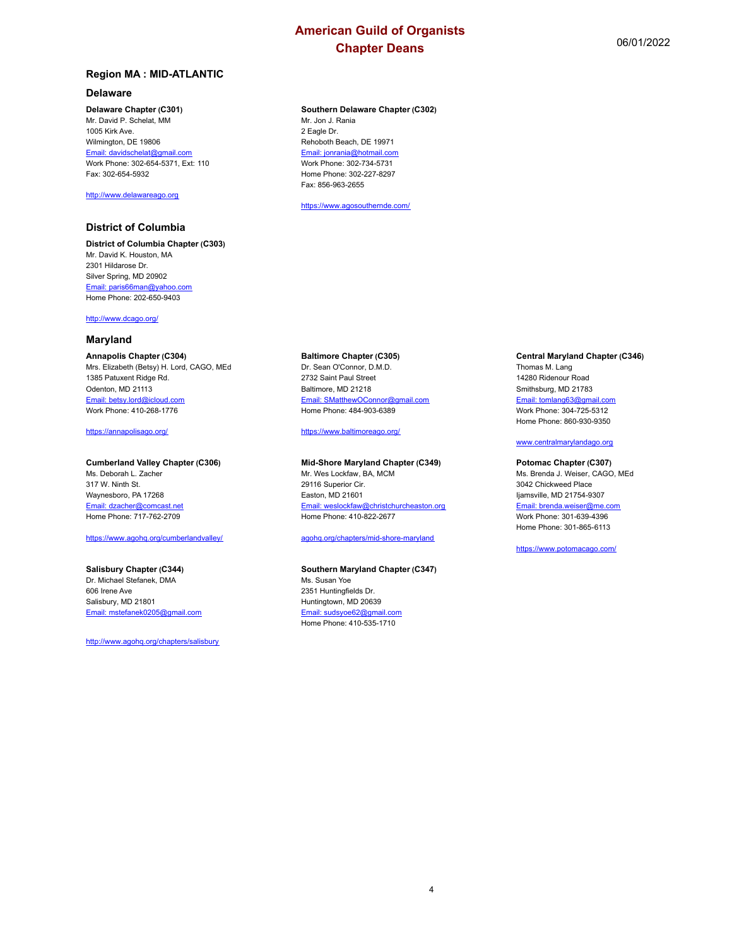## **Region MA : MID-ATLANTIC**

## **Delaware**

#### **Delaware Chapter (C301)**

Mr. David P. Schelat, MM 1005 Kirk Ave. Wilmington, DE 19806 Email: davidschelat@gmail.com Work Phone: 302-654-5371, Ext: 110 Fax: 302-654-5932

### <http://www.delawareago.org>

## **District of Columbia**

**District of Columbia Chapter (C303)** Mr. David K. Houston, MA 2301 Hildarose Dr. Silver Spring, MD 20902 Email: paris66man@yahoo.com Home Phone: 202-650-9403

<http://www.dcago.org/>

### **Maryland**

#### **Annapolis Chapter (C304)**

Mrs. Elizabeth (Betsy) H. Lord, CAGO, MEd 1385 Patuxent Ridge Rd. Odenton, MD 21113 Email: betsy.lord@icloud.com Work Phone: 410-268-1776

<https://annapolisago.org/>

#### **Cumberland Valley Chapter (C306)**

Ms. Deborah L. Zacher 317 W. Ninth St. Waynesboro, PA 17268 Email: dzacher@comcast.net Home Phone: 717-762-2709

#### <https://www.agohq.org/cumberlandvalley/>

#### **Salisbury Chapter (C344)**

Dr. Michael Stefanek, DMA 606 Irene Ave Salisbury, MD 21801 Email: mstefanek0205@gmail.com

<http://www.agohq.org/chapters/salisbury>

## **Southern Delaware Chapter (C302)**

Mr. Jon J. Rania 2 Eagle Dr. Rehoboth Beach, DE 19971 Email: jonrania@hotmail.com Work Phone: 302-734-5731 Home Phone: 302-227-8297 Fax: 856-963-2655

<https://www.agosouthernde.com/>

## **Baltimore Chapter (C305)**

Dr. Sean O'Connor, D.M.D. 2732 Saint Paul Street Baltimore, MD 21218 Email: SMatthewOConnor@gmail.com Home Phone: 484-903-6389

<https://www.baltimoreago.org/>

#### **Mid-Shore Maryland Chapter (C349)**

Mr. Wes Lockfaw, BA, MCM 29116 Superior Cir. Easton, MD 21601 Email: weslockfaw@christchurcheaston.org Home Phone: 410-822-2677

#### agohq.org/chapters/mid-shore-maryland

#### **Southern Maryland Chapter (C347)**

Ms. Susan Yoe 2351 Huntingfields Dr. Huntingtown, MD 20639 Email: sudsyoe62@gmail.com Home Phone: 410-535-1710

#### **Central Maryland Chapter (C346)**

Thomas M. Lang 14280 Ridenour Road Smithsburg, MD 21783 Email: tomlang63@gmail.com Work Phone: 304-725-5312 Home Phone: 860-930-9350

#### www.centralmarylandago.org

#### **Potomac Chapter (C307)**

Ms. Brenda J. Weiser, CAGO, MEd 3042 Chickweed Place Ijamsville, MD 21754-9307 Email: brenda.weiser@me.com Work Phone: 301-639-4396 Home Phone: 301-865-6113

<https://www.potomacago.com/>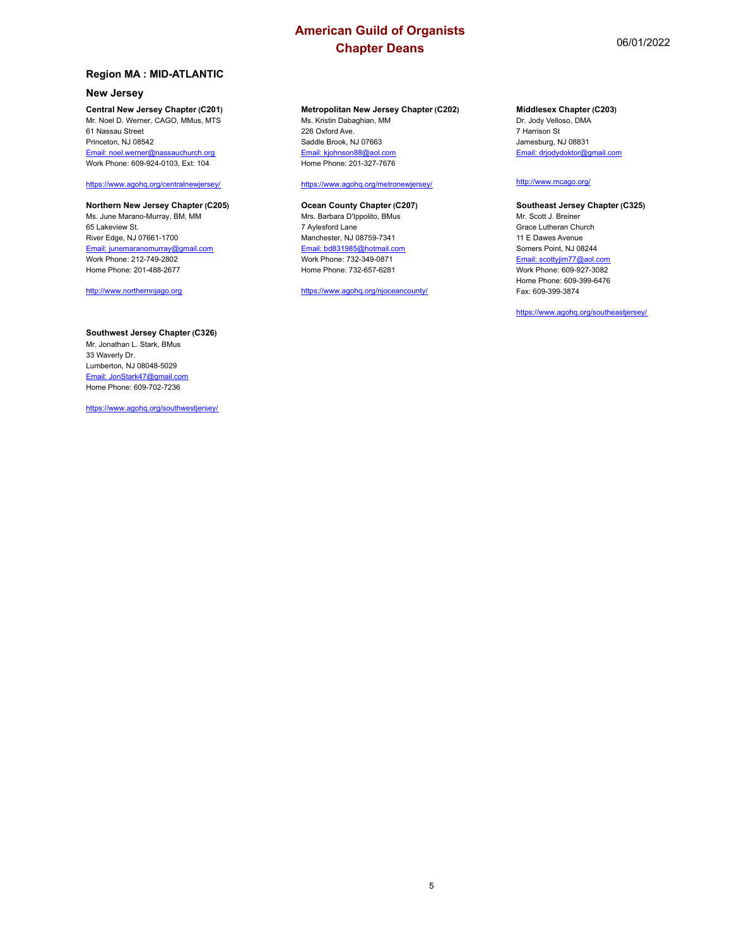## **Region MA : MID-ATLANTIC**

## **New Jersey**

**Central New Jersey Chapter (C201)** Mr. Noel D. Werner, CAGO, MMus, MTS 61 Nassau Street Princeton, NJ 08542 Email: noel.werner@nassauchurch.org Work Phone: 609-924-0103, Ext: 104

#### <https://www.agohq.org/centralnewjersey/>

**Northern New Jersey Chapter (C205)** Ms. June Marano-Murray, BM, MM 65 Lakeview St. River Edge, NJ 07661-1700 Email: junemaranomurray@gmail.com Work Phone: 212-749-2802 Home Phone: 201-488-2677

<http://www.northernnjago.org>

## **Southwest Jersey Chapter (C326)**

Mr. Jonathan L. Stark, BMus 33 Waverly Dr. Lumberton, NJ 08048-5029 Email: JonStark47@gmail.com Home Phone: 609-702-7236

<https://www.agohq.org/southwestjersey/>

## **Metropolitan New Jersey Chapter (C202)**

Ms. Kristin Dabaghian, MM 226 Oxford Ave. Saddle Brook, NJ 07663 Email: kjohnson88@aol.com Home Phone: 201-327-7676

#### <https://www.agohq.org/metronewjersey/>

#### **Ocean County Chapter (C207)**

Mrs. Barbara D'Ippolito, BMus 7 Aylesford Lane Manchester, NJ 08759-7341 Email: bd831985@hotmail.com Work Phone: 732-349-0871 Home Phone: 732-657-6281

<https://www.agohq.org/njoceancounty/>

#### **Middlesex Chapter (C203)**

Dr. Jody Velloso, DMA 7 Harrison St Jamesburg, NJ 08831 Email: drjodydoktor@gmail.com

### <http://www.mcago.org/>

#### **Southeast Jersey Chapter (C325)**

Mr. Scott J. Breiner Grace Lutheran Church 11 E Dawes Avenue Somers Point, NJ 08244 Email: scottyjim77@aol.com Work Phone: 609-927-3082 Home Phone: 609-399-6476 Fax: 609-399-3874

<https://www.agohq.org/southeastjersey/>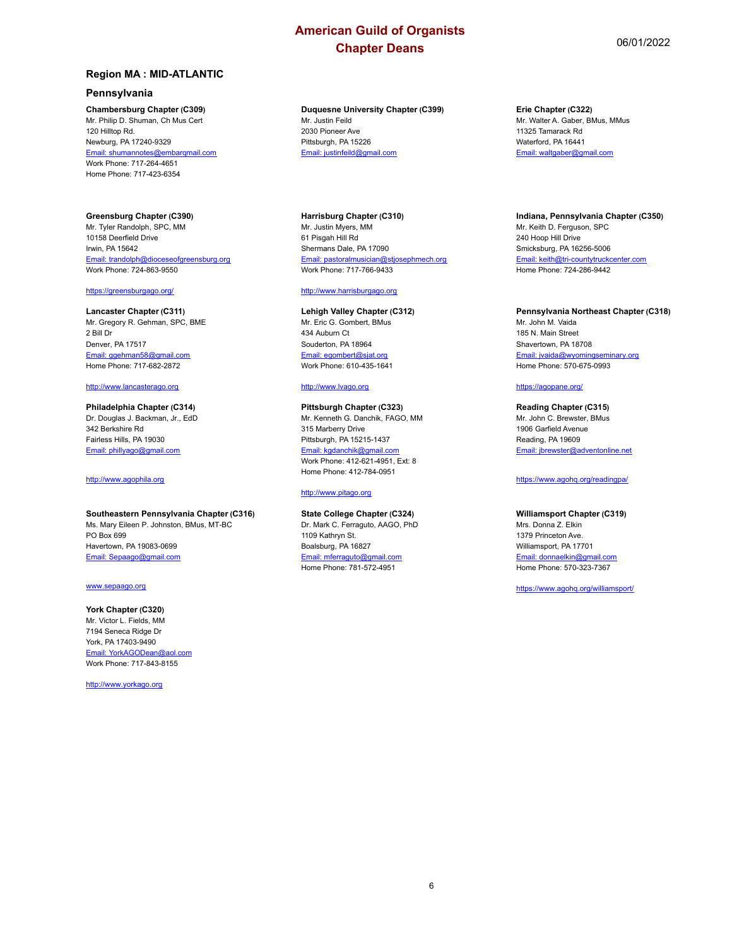## **Region MA : MID-ATLANTIC**

## **Pennsylvania**

## **Chambersburg Chapter (C309)**

Mr. Philip D. Shuman, Ch Mus Cert 120 Hilltop Rd. Newburg, PA 17240-9329 Email: shumannotes@embarqmail.com Work Phone: 717-264-4651 Home Phone: 717-423-6354

## **Greensburg Chapter (C390)**

Mr. Tyler Randolph, SPC, MM 10158 Deerfield Drive Irwin, PA 15642 Email: trandolph@dioceseofgreensburg.org Work Phone: 724-863-9550

#### <https://greensburgago.org/>

**Lancaster Chapter (C311)** Mr. Gregory R. Gehman, SPC, BME 2 Bill Dr Denver, PA 17517 Email: ggehman58@gmail.com Home Phone: 717-682-2872

#### <http://www.lancasterago.org>

**Philadelphia Chapter (C314)** Dr. Douglas J. Backman, Jr., EdD 342 Berkshire Rd Fairless Hills, PA 19030 Email: phillyago@gmail.com

<http://www.agophila.org>

## **Southeastern Pennsylvania Chapter (C316)**

Ms. Mary Eileen P. Johnston, BMus, MT-BC PO Box 699 Havertown, PA 19083-0699 Email: Sepaago@gmail.com

#### www.sepaago.org

## **York Chapter (C320)**

Mr. Victor L. Fields, MM 7194 Seneca Ridge Dr York, PA 17403-9490 Email: YorkAGODean@aol.com Work Phone: 717-843-8155

<http://www.yorkago.org>

#### **Duquesne University Chapter (C399)** Mr. Justin Feild

2030 Pioneer Ave Pittsburgh, PA 15226 Email: justinfeild@gmail.com

## **Harrisburg Chapter (C310)** Mr. Justin Myers, MM 61 Pisgah Hill Rd

Shermans Dale, PA 17090 Email: pastoralmusician@stjosephmech.org Work Phone: 717-766-9433

### <http://www.harrisburgago.org>

#### **Lehigh Valley Chapter (C312)** Mr. Eric G. Gombert, BMus 434 Auburn Ct Souderton, PA 18964 Email: egombert@sjat.org Work Phone: 610-435-1641

#### <http://www.lvago.org>

#### **Pittsburgh Chapter (C323)**

Mr. Kenneth G. Danchik, FAGO, MM 315 Marberry Drive Pittsburgh, PA 15215-1437 Email: kgdanchik@gmail.com Work Phone: 412-621-4951, Ext: 8 Home Phone: 412-784-0951

### <http://www.pitago.org>

## **State College Chapter (C324)**

Dr. Mark C. Ferraguto, AAGO, PhD 1109 Kathryn St. Boalsburg, PA 16827 Email: mferraguto@gmail.com Home Phone: 781-572-4951

#### **Erie Chapter (C322)**

Mr. Walter A. Gaber, BMus, MMus 11325 Tamarack Rd Waterford, PA 16441 Email: waltgaber@gmail.com

#### **Indiana, Pennsylvania Chapter (C350)**

Mr. Keith D. Ferguson, SPC 240 Hoop Hill Drive Smicksburg, PA 16256-5006 Email: keith@tri-countytruckcenter.com Home Phone: 724-286-9442

#### **Pennsylvania Northeast Chapter (C318)**

Mr. John M. Vaida 185 N. Main Street Shavertown, PA 18708 Email: jvaida@wyomingseminary.org Home Phone: 570-675-0993

## <https://agopane.org/>

## **Reading Chapter (C315)**

Mr. John C. Brewster, BMus 1906 Garfield Avenue Reading, PA 19609 Email: jbrewster@adventonline.net

<https://www.agohq.org/readingpa/>

## **Williamsport Chapter (C319)**

Mrs. Donna Z. Elkin 1379 Princeton Ave. Williamsport, PA 17701 Email: donnaelkin@gmail.com Home Phone: 570-323-7367

<https://www.agohq.org/williamsport/>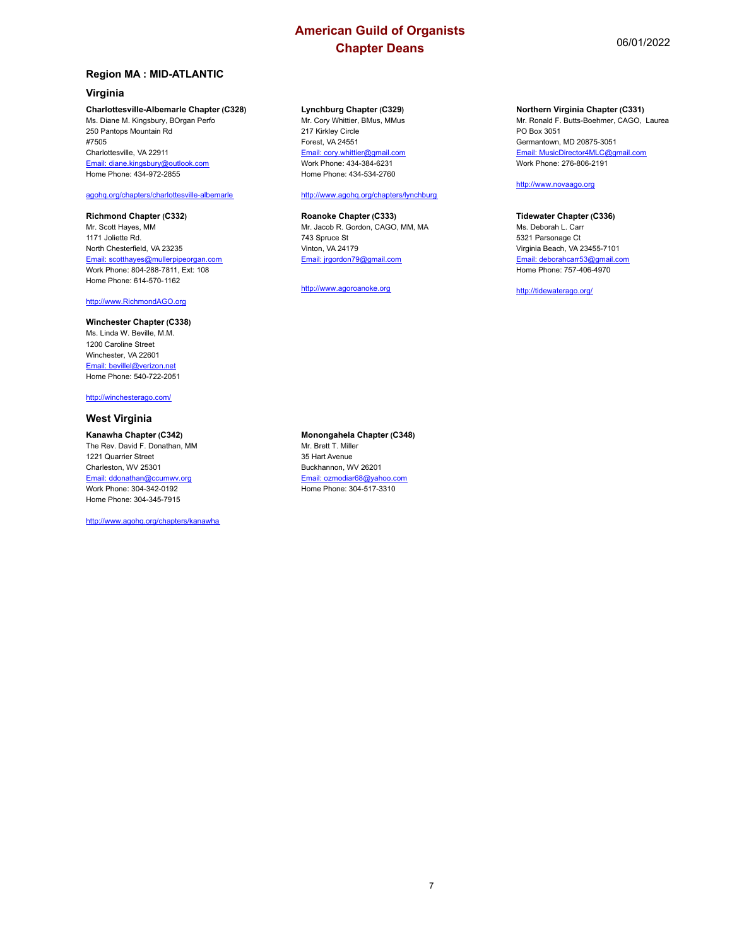## **Region MA : MID-ATLANTIC**

## **Virginia**

#### **Charlottesville-Albemarle Chapter (C328)**

Ms. Diane M. Kingsbury, BOrgan Perfo 250 Pantops Mountain Rd #7505 Charlottesville, VA 22911 Email: diane.kingsbury@outlook.com Home Phone: 434-972-2855

## agohq.org/chapters/charlottesville-albemarle

## **Richmond Chapter (C332)**

Mr. Scott Hayes, MM 1171 Joliette Rd. North Chesterfield, VA 23235 Email: scotthayes@mullerpipeorgan.com Work Phone: 804-288-7811, Ext: 108 Home Phone: 614-570-1162

<http://www.RichmondAGO.org>

### **Winchester Chapter (C338)**

Ms. Linda W. Beville, M.M. 1200 Caroline Street Winchester, VA 22601 Email: bevillel@verizon.net Home Phone: 540-722-2051

<http://winchesterago.com/>

## **West Virginia**

#### **Kanawha Chapter (C342)**

The Rev. David F. Donathan, MM 1221 Quarrier Street Charleston, WV 25301 Email: ddonathan@ccumwv.org Work Phone: 304-342-0192 Home Phone: 304-345-7915

<http://www.agohq.org/chapters/kanawha>

#### **Lynchburg Chapter (C329)**

Mr. Cory Whittier, BMus, MMus 217 Kirkley Circle Forest, VA 24551 Email: cory.whittier@gmail.com Work Phone: 434-384-6231 Home Phone: 434-534-2760

## <http://www.agohq.org/chapters/lynchburg>

#### **Roanoke Chapter (C333)** Mr. Jacob R. Gordon, CAGO, MM, MA 743 Spruce St Vinton, VA 24179

Email: jrgordon79@gmail.com <http://www.agoroanoke.org>

#### **Northern Virginia Chapter (C331)**

Mr. Ronald F. Butts-Boehmer, CAGO, Laurea PO Box 3051 Germantown, MD 20875-3051 Email: MusicDirector4MLC@gmail.com Work Phone: 276-806-2191

#### <http://www.novaago.org>

## **Tidewater Chapter (C336)**

Ms. Deborah L. Carr 5321 Parsonage Ct Virginia Beach, VA 23455-7101 Email: deborahcarr53@gmail.com Home Phone: 757-406-4970

<http://tidewaterago.org/>

**Monongahela Chapter (C348)** Mr. Brett T. Miller 35 Hart Avenue Buckhannon, WV 26201 Email: ozmodiar68@yahoo.com Home Phone: 304-517-3310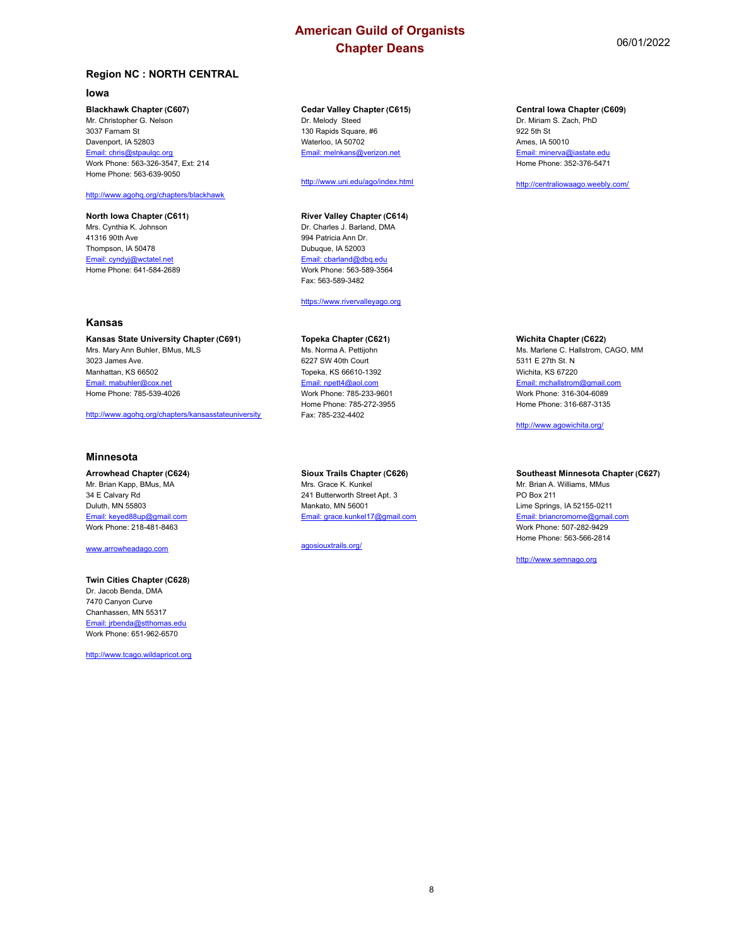## **Region NC : NORTH CENTRAL**

#### **Iowa**

#### **Blackhawk Chapter (C607)**

Mr. Christopher G. Nelson 3037 Farnam St Davenport, IA 52803 Email: chris@stpaulqc.org Work Phone: 563-326-3547, Ext: 214 Home Phone: 563-639-9050

### <http://www.agohq.org/chapters/blackhawk>

**North Iowa Chapter (C611)** Mrs. Cynthia K. Johnson 41316 90th Ave Thompson, IA 50478 Email: cyndyj@wctatel.net Home Phone: 641-584-2689

## **Kansas**

**Kansas State University Chapter (C691)** Mrs. Mary Ann Buhler, BMus, MLS 3023 James Ave. Manhattan, KS 66502 Email: mabuhler@cox.net Home Phone: 785-539-4026

<http://www.agohq.org/chapters/kansasstateuniversity>

#### **Minnesota**

**Arrowhead Chapter (C624)** Mr. Brian Kapp, BMus, MA 34 E Calvary Rd Duluth, MN 55803 Email: keyed88up@gmail.com Work Phone: 218-481-8463

www.arrowheadago.com

#### **Twin Cities Chapter (C628)**

Dr. Jacob Benda, DMA 7470 Canyon Curve Chanhassen, MN 55317 Email: jrbenda@stthomas.edu Work Phone: 651-962-6570

<http://www.tcago.wildapricot.org>

#### **Cedar Valley Chapter (C615)** Dr. Melody Steed 130 Rapids Square, #6 Waterloo, IA 50702 Email: melnkans@verizon.net

<http://www.uni.edu/ago/index.html>

## **River Valley Chapter (C614)**

Dr. Charles J. Barland, DMA 994 Patricia Ann Dr. Dubuque, IA 52003 Email: cbarland@dbq.edu Work Phone: 563-589-3564 Fax: 563-589-3482

<https://www.rivervalleyago.org>

## **Topeka Chapter (C621)**

Ms. Norma A. Pettijohn 6227 SW 40th Court Topeka, KS 66610-1392 Email: npett4@aol.com Work Phone: 785-233-9601 Home Phone: 785-272-3955 Fax: 785-232-4402

## **Sioux Trails Chapter (C626)**

Mrs. Grace K. Kunkel 241 Butterworth Street Apt. 3 Mankato, MN 56001 Email: grace.kunkel17@gmail.com

agosiouxtrails.org/

#### **Central Iowa Chapter (C609)**

Dr. Miriam S. Zach, PhD 922 5th St Ames, IA 50010 Email: minerva@iastate.edu Home Phone: 352-376-5471

<http://centraliowaago.weebly.com/>

## **Wichita Chapter (C622)**

Ms. Marlene C. Hallstrom, CAGO, MM 5311 E 27th St. N Wichita, KS 67220 Email: mchallstrom@gmail.com Work Phone: 316-304-6089 Home Phone: 316-687-3135

<http://www.agowichita.org/>

## **Southeast Minnesota Chapter (C627)**

Mr. Brian A. Williams, MMus PO Box 211 Lime Springs, IA 52155-0211 Email: briancromorne@gmail.com Work Phone: 507-282-9429 Home Phone: 563-566-2814

<http://www.semnago.org>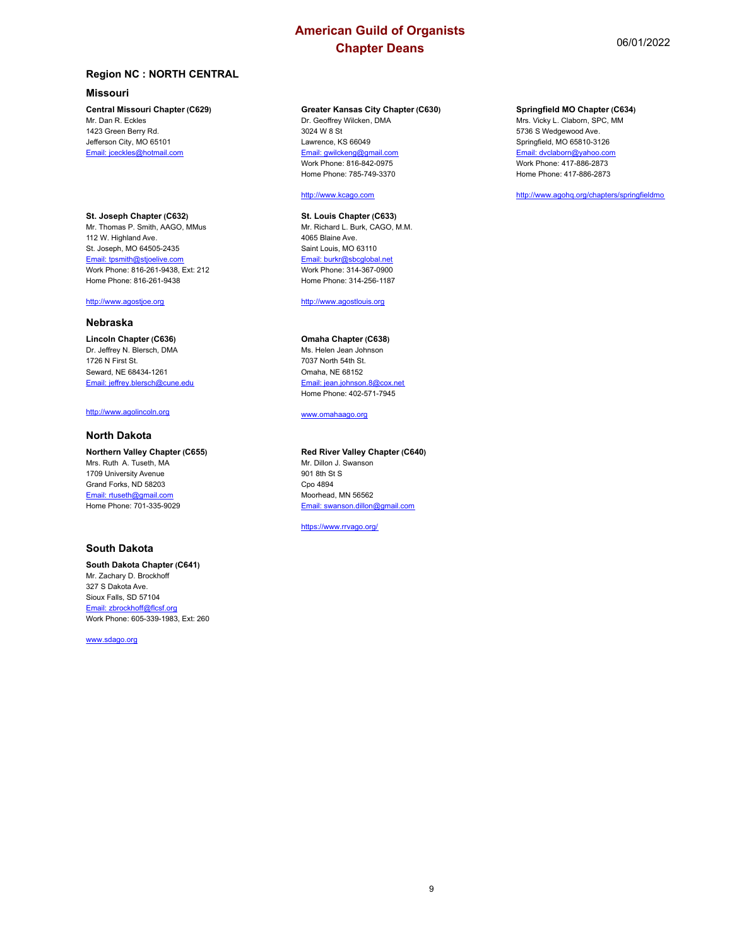## **Missouri**

#### **Central Missouri Chapter (C629)**

Mr. Dan R. Eckles 1423 Green Berry Rd. Jefferson City, MO 65101 Email: jceckles@hotmail.com

**St. Joseph Chapter (C632)** Mr. Thomas P. Smith, AAGO, MMus 112 W. Highland Ave. St. Joseph, MO 64505-2435 Email: tpsmith@stjoelive.com Work Phone: 816-261-9438, Ext: 212 Home Phone: 816-261-9438

#### <http://www.agostjoe.org>

## **Nebraska**

**Lincoln Chapter (C636)** Dr. Jeffrey N. Blersch, DMA 1726 N First St. Seward, NE 68434-1261 Email: jeffrey.blersch@cune.edu

#### <http://www.agolincoln.org>

## **North Dakota**

**Northern Valley Chapter (C655)** Mrs. Ruth A. Tuseth, MA 1709 University Avenue Grand Forks, ND 58203 Email: rtuseth@gmail.com Home Phone: 701-335-9029

## **South Dakota**

#### **South Dakota Chapter (C641)** Mr. Zachary D. Brockhoff 327 S Dakota Ave. Sioux Falls, SD 57104 Email: zbrockhoff@flcsf.org Work Phone: 605-339-1983, Ext: 260

www.sdago.org

## **Greater Kansas City Chapter (C630)**

Dr. Geoffrey Wilcken, DMA 3024 W 8 St Lawrence, KS 66049 Email: gwilckeng@gmail.com Work Phone: 816-842-0975 Home Phone: 785-749-3370

## <http://www.kcago.com>

**St. Louis Chapter (C633)** Mr. Richard L. Burk, CAGO, M.M. 4065 Blaine Ave. Saint Louis, MO 63110 Email: burkr@sbcglobal.net Work Phone: 314-367-0900 Home Phone: 314-256-1187

<http://www.agostlouis.org>

#### **Omaha Chapter (C638)**

Ms. Helen Jean Johnson 7037 North 54th St. Omaha, NE 68152 Email: jean.johnson.8@cox.net Home Phone: 402-571-7945

www.omahaago.org

## **Red River Valley Chapter (C640)**

Mr. Dillon J. Swanson 901 8th St S Cpo 4894 Moorhead, MN 56562 Email: swanson.dillon@gmail.com

<https://www.rrvago.org/>

### **Springfield MO Chapter (C634)**

Mrs. Vicky L. Claborn, SPC, MM 5736 S Wedgewood Ave. Springfield, MO 65810-3126 Email: dvclaborn@yahoo.com Work Phone: 417-886-2873 Home Phone: 417-886-2873

<http://www.agohq.org/chapters/springfieldmo>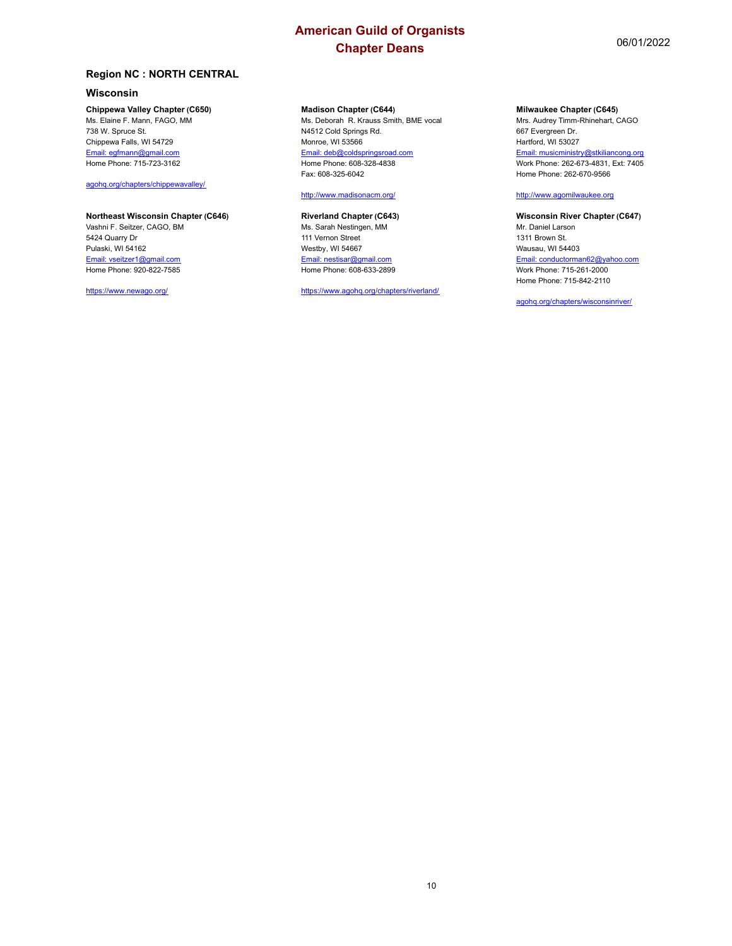## **Wisconsin**

## **Chippewa Valley Chapter (C650)**

Ms. Elaine F. Mann, FAGO, MM 738 W. Spruce St. Chippewa Falls, WI 54729 Email: egfmann@gmail.com Home Phone: 715-723-3162

agohq.org/chapters/chippewavalley/

## **Northeast Wisconsin Chapter (C646)**

Vashni F. Seitzer, CAGO, BM 5424 Quarry Dr Pulaski, WI 54162 Email: vseitzer1@gmail.com Home Phone: 920-822-7585

<https://www.newago.org/>

#### **Madison Chapter (C644)**

Ms. Deborah R. Krauss Smith, BME vocal N4512 Cold Springs Rd. Monroe, WI 53566 Email: deb@coldspringsroad.com Home Phone: 608-328-4838 Fax: 608-325-6042

#### <http://www.madisonacm.org/>

## **Riverland Chapter (C643)**

Ms. Sarah Nestingen, MM 111 Vernon Street Westby, WI 54667 Email: nestisar@gmail.com Home Phone: 608-633-2899

<https://www.agohq.org/chapters/riverland/>

#### **Milwaukee Chapter (C645)**

Mrs. Audrey Timm-Rhinehart, CAGO 667 Evergreen Dr. Hartford, WI 53027 Email: musicministry@stkiliancong.org Work Phone: 262-673-4831, Ext: 7405 Home Phone: 262-670-9566

#### <http://www.agomilwaukee.org>

**Wisconsin River Chapter (C647)** Mr. Daniel Larson 1311 Brown St. Wausau, WI 54403 Email: conductorman62@yahoo.com Work Phone: 715-261-2000 Home Phone: 715-842-2110

agohq.org/chapters/wisconsinriver/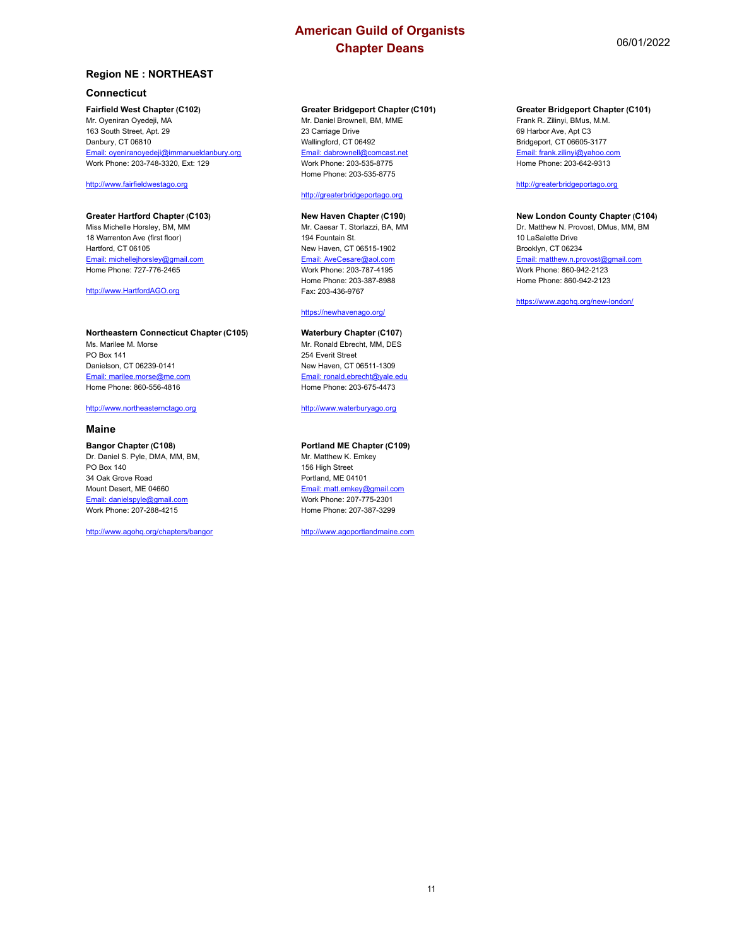## **Region NE : NORTHEAST**

## **Connecticut**

#### **Fairfield West Chapter (C102)**

Mr. Oyeniran Oyedeji, MA 163 South Street, Apt. 29 Danbury, CT 06810 Email: oyeniranoyedeji@immanueldanbury.org Work Phone: 203-748-3320, Ext: 129

<http://www.fairfieldwestago.org>

#### **Greater Hartford Chapter (C103)** Miss Michelle Horsley, BM, MM 18 Warrenton Ave (first floor) Hartford, CT 06105 Email: michellejhorsley@gmail.com Home Phone: 727-776-2465

<http://www.HartfordAGO.org>

## **Northeastern Connecticut Chapter (C105)**

Ms. Marilee M. Morse PO Box 141 Danielson, CT 06239-0141 Email: marilee.morse@me.com Home Phone: 860-556-4816

### <http://www.northeasternctago.org>

### **Maine**

## **Bangor Chapter (C108)**

Dr. Daniel S. Pyle, DMA, MM, BM, PO Box 140 34 Oak Grove Road Mount Desert, ME 04660 Email: danielspyle@gmail.com Work Phone: 207-288-4215

<http://www.agohq.org/chapters/bangor>

## **Greater Bridgeport Chapter (C101)**

Mr. Daniel Brownell, BM, MME 23 Carriage Drive Wallingford, CT 06492 Email: dabrownell@comcast.net Work Phone: 203-535-8775 Home Phone: 203-535-8775

#### <http://greaterbridgeportago.org>

## **New Haven Chapter (C190)**

Mr. Caesar T. Storlazzi, BA, MM 194 Fountain St. New Haven, CT 06515-1902 Email: AveCesare@aol.com Work Phone: 203-787-4195 Home Phone: 203-387-8988 Fax: 203-436-9767

#### <https://newhavenago.org/>

## **Waterbury Chapter (C107)**

Mr. Ronald Ebrecht, MM, DES 254 Everit Street New Haven, CT 06511-1309 Email: ronald.ebrecht@yale.edu Home Phone: 203-675-4473

<http://www.waterburyago.org>

## **Portland ME Chapter (C109)**

Mr. Matthew K. Emkey 156 High Street Portland, ME 04101 Email: matt.emkey@gmail.com Work Phone: 207-775-2301 Home Phone: 207-387-3299

<http://www.agoportlandmaine.com>

## **Greater Bridgeport Chapter (C101)**

Frank R. Zilinyi, BMus, M.M. 69 Harbor Ave, Apt C3 Bridgeport, CT 06605-3177 Email: frank.zilinyi@yahoo.com Home Phone: 203-642-9313

## <http://greaterbridgeportago.org>

#### **New London County Chapter (C104)** Dr. Matthew N. Provost, DMus, MM, BM 10 LaSalette Drive Brooklyn, CT 06234 Email: matthew.n.provost@gmail.com Work Phone: 860-942-2123 Home Phone: 860-942-2123

<https://www.agohq.org/new-london/>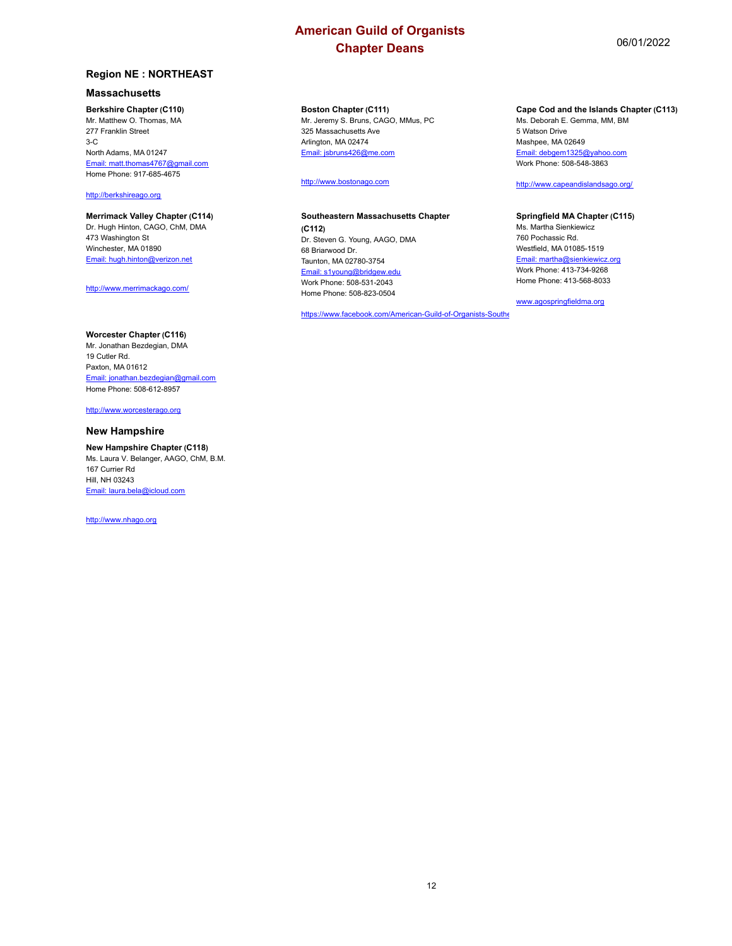## **Massachusetts**

**Berkshire Chapter (C110)**

Mr. Matthew O. Thomas, MA 277 Franklin Street 3-C North Adams, MA 01247 Email: matt.thomas4767@gmail.com Home Phone: 917-685-4675

<http://berkshireago.org>

#### **Merrimack Valley Chapter (C114)** Dr. Hugh Hinton, CAGO, ChM, DMA 473 Washington St

Winchester, MA 01890 Email: hugh.hinton@verizon.net

<http://www.merrimackago.com/>

## **Worcester Chapter (C116)**

Mr. Jonathan Bezdegian, DMA 19 Cutler Rd. Paxton, MA 01612 Email: jonathan.bezdegian@gmail.com Home Phone: 508-612-8957

<http://www.worcesterago.org>

#### **New Hampshire**

**New Hampshire Chapter (C118)** Ms. Laura V. Belanger, AAGO, ChM, B.M. 167 Currier Rd Hill, NH 03243 Email: laura.bela@icloud.com

<http://www.nhago.org>

## **Boston Chapter (C111)**

Mr. Jeremy S. Bruns, CAGO, MMus, PC 325 Massachusetts Ave Arlington, MA 02474 Email: jsbruns426@me.com

<http://www.bostonago.com>

#### **Southeastern Massachusetts Chapter (C112)**

Dr. Steven G. Young, AAGO, DMA 68 Briarwood Dr. Taunton, MA 02780-3754 Email: s1young@bridgew.edu Work Phone: 508-531-2043 Home Phone: 508-823-0504

[https://www.facebook.com/American-Guild-of-Organists-Southe](https://www.facebook.com/American-Guild-of-Organists-Southeastern-MA-Chapter-1632336303698443/)

#### **Cape Cod and the Islands Chapter (C113)**

Ms. Deborah E. Gemma, MM, BM 5 Watson Drive Mashpee, MA 02649 Email: debgem1325@yahoo.com Work Phone: 508-548-3863

## <http://www.capeandislandsago.org/>

## **Springfield MA Chapter (C115)**

Ms. Martha Sienkiewicz 760 Pochassic Rd. Westfield, MA 01085-1519 Email: martha@sienkiewicz.org Work Phone: 413-734-9268 Home Phone: 413-568-8033

www.agospringfieldma.org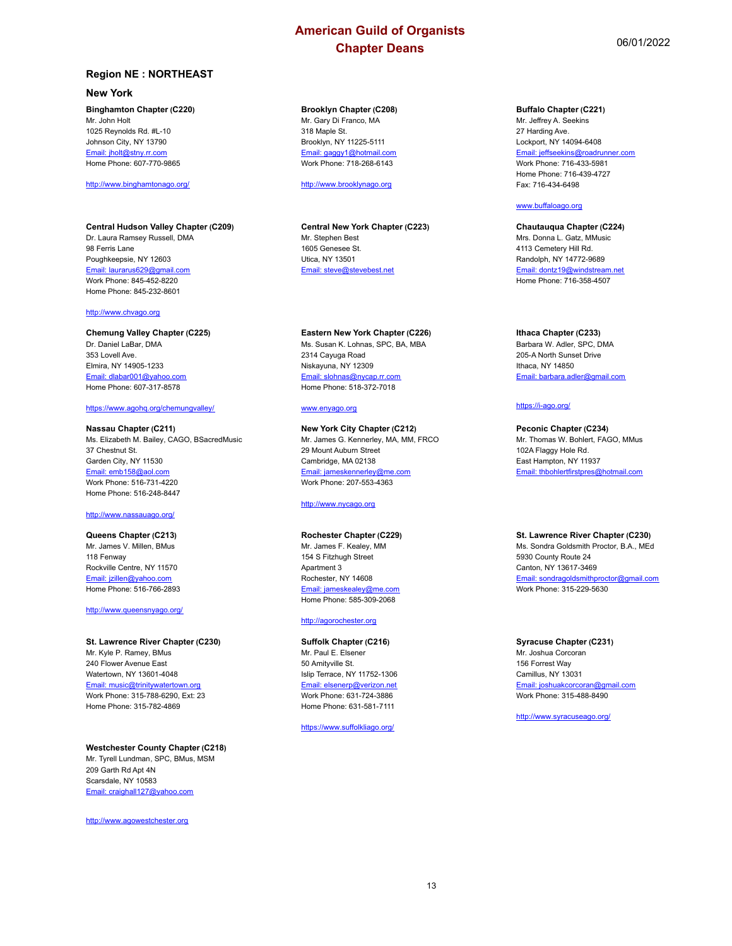## **Region NE : NORTHEAST**

## **New York**

## **Binghamton Chapter (C220)**

Mr. John Holt 1025 Reynolds Rd. #L-10 Johnson City, NY 13790 Email: jholt@stny.rr.com Home Phone: 607-770-9865

#### <http://www.binghamtonago.org/>

#### **Central Hudson Valley Chapter (C209)** Dr. Laura Ramsey Russell, DMA 98 Ferris Lane Poughkeepsie, NY 12603 Email: laurarus629@gmail.com Work Phone: 845-452-8220 Home Phone: 845-232-8601

## <http://www.chvago.org>

#### **Chemung Valley Chapter (C225)** Dr. Daniel LaBar, DMA 353 Lovell Ave. Elmira, NY 14905-1233 Email: dlabar001@yahoo.com Home Phone: 607-317-8578

#### <https://www.agohq.org/chemungvalley/>

**Nassau Chapter (C211)** Ms. Elizabeth M. Bailey, CAGO, BSacredMusic 37 Chestnut St. Garden City, NY 11530 Email: emb158@aol.com Work Phone: 516-731-4220 Home Phone: 516-248-8447

#### <http://www.nassauago.org/>

**Queens Chapter (C213)** Mr. James V. Millen, BMus 118 Fenway Rockville Centre, NY 11570 Email: jzillen@yahoo.com Home Phone: 516-766-2893

[http://www.queensnyago.org/](http://www.queensnyago.org/
)

**St. Lawrence River Chapter (C230)** Mr. Kyle P. Ramey, BMus 240 Flower Avenue East Watertown, NY 13601-4048 Email: music@trinitywatertown.org Work Phone: 315-788-6290, Ext: 23 Home Phone: 315-782-4869

#### **Westchester County Chapter (C218)**

Mr. Tyrell Lundman, SPC, BMus, MSM 209 Garth Rd Apt 4N Scarsdale, NY 10583 Email: craighall127@yahoo.com

<http://www.agowestchester.org>

#### **Brooklyn Chapter (C208)**

Mr. Gary Di Franco, MA 318 Maple St. Brooklyn, NY 11225-5111 Email: gaggy1@hotmail.com Work Phone: 718-268-6143

[http://www.brooklynago.org](http://www.brooklynago.org
)

**Central New York Chapter (C223)** Mr. Stephen Best 1605 Genesee St. Utica, NY 13501 Email: steve@stevebest.net

**Eastern New York Chapter (C226)** Ms. Susan K. Lohnas, SPC, BA, MBA

2314 Cayuga Road Niskayuna, NY 12309 Email: slohnas@nycap.rr.com Home Phone: 518-372-7018

#### www.enyago.org

**New York City Chapter (C212)** Mr. James G. Kennerley, MA, MM, FRCO 29 Mount Auburn Street Cambridge, MA 02138 Email: jameskennerley@me.com Work Phone: 207-553-4363

## <http://www.nycago.org>

#### **Rochester Chapter (C229)**

Mr. James F. Kealey, MM 154 S Fitzhugh Street Apartment 3 Rochester, NY 14608 Email: jameskealey@me.com Home Phone: 585-309-2068

## <http://agorochester.org>

**Suffolk Chapter (C216)** Mr. Paul E. Elsener 50 Amityville St. Islip Terrace, NY 11752-1306 Email: elsenerp@verizon.net Work Phone: 631-724-3886 Home Phone: 631-581-7111

<https://www.suffolkliago.org/>

#### **Buffalo Chapter (C221)**

Mr. Jeffrey A. Seekins 27 Harding Ave. Lockport, NY 14094-6408 Email: jeffseekins@roadrunner.com Work Phone: 716-433-5981 Home Phone: 716-439-4727 Fax: 716-434-6498

#### www.buffaloago.org

**Chautauqua Chapter (C224)** Mrs. Donna L. Gatz, MMusic 4113 Cemetery Hill Rd. Randolph, NY 14772-9689 Email: dontz19@windstream.net Home Phone: 716-358-4507

## **Ithaca Chapter (C233)**

Barbara W. Adler, SPC, DMA 205-A North Sunset Drive Ithaca, NY 14850 Email: barbara.adler@gmail.com

#### <https://i-ago.org/>

**Peconic Chapter (C234)** Mr. Thomas W. Bohlert, FAGO, MMus 102A Flaggy Hole Rd. East Hampton, NY 11937 Email: thbohlertfirstpres@hotmail.com

#### **St. Lawrence River Chapter (C230)**

Ms. Sondra Goldsmith Proctor, B.A., MEd 5930 County Route 24 Canton, NY 13617-3469 Email: sondragoldsmithproctor@gmail.com Work Phone: 315-229-5630

**Syracuse Chapter (C231)** Mr. Joshua Corcoran 156 Forrest Way Camillus, NY 13031 Email: joshuakcorcoran@gmail.com Work Phone: 315-488-8490

<http://www.syracuseago.org/>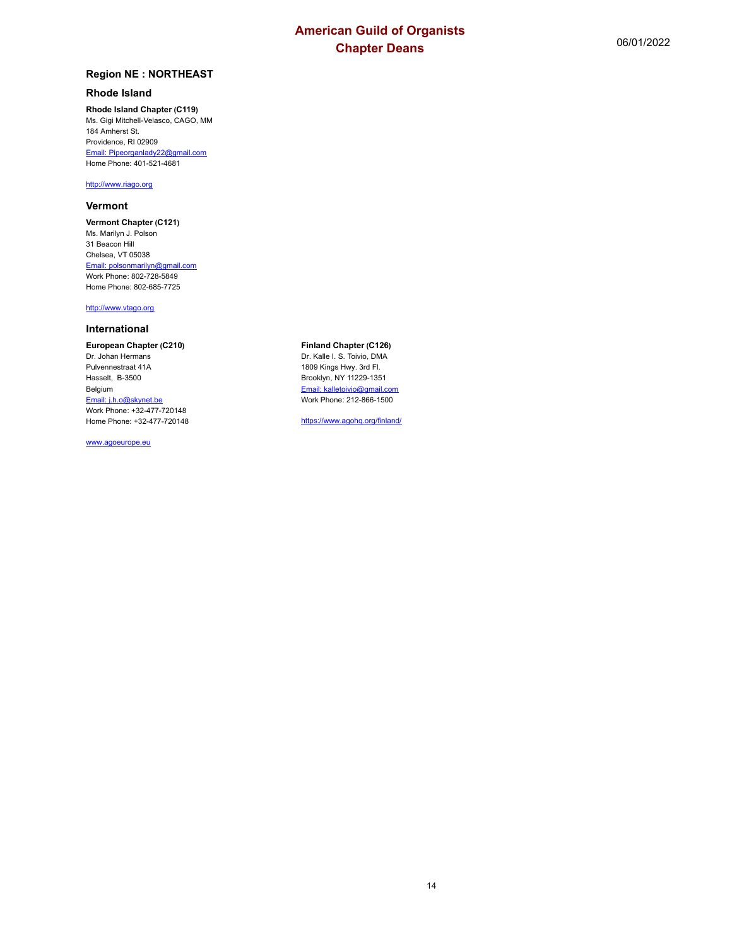## **Rhode Island**

**Rhode Island Chapter (C119)** Ms. Gigi Mitchell-Velasco, CAGO, MM 184 Amherst St. Providence, RI 02909 Email: Pipeorganlady22@gmail.com Home Phone: 401-521-4681

## <http://www.riago.org>

## **Vermont**

**Vermont Chapter (C121)** Ms. Marilyn J. Polson 31 Beacon Hill Chelsea, VT 05038 Email: polsonmarilyn@gmail.com Work Phone: 802-728-5849 Home Phone: 802-685-7725

## <http://www.vtago.org>

## **International**

**European Chapter (C210)** Dr. Johan Hermans Pulvennestraat 41A Hasselt, B-3500 Belgium Email: j.h.o@skynet.be Work Phone: +32-477-720148 Home Phone: +32-477-720148

www.agoeurope.eu

**Finland Chapter (C126)** Dr. Kalle I. S. Toivio, DMA 1809 Kings Hwy. 3rd Fl. Brooklyn, NY 11229-1351 Email: kalletoivio@gmail.com Work Phone: 212-866-1500

<https://www.agohq.org/finland/>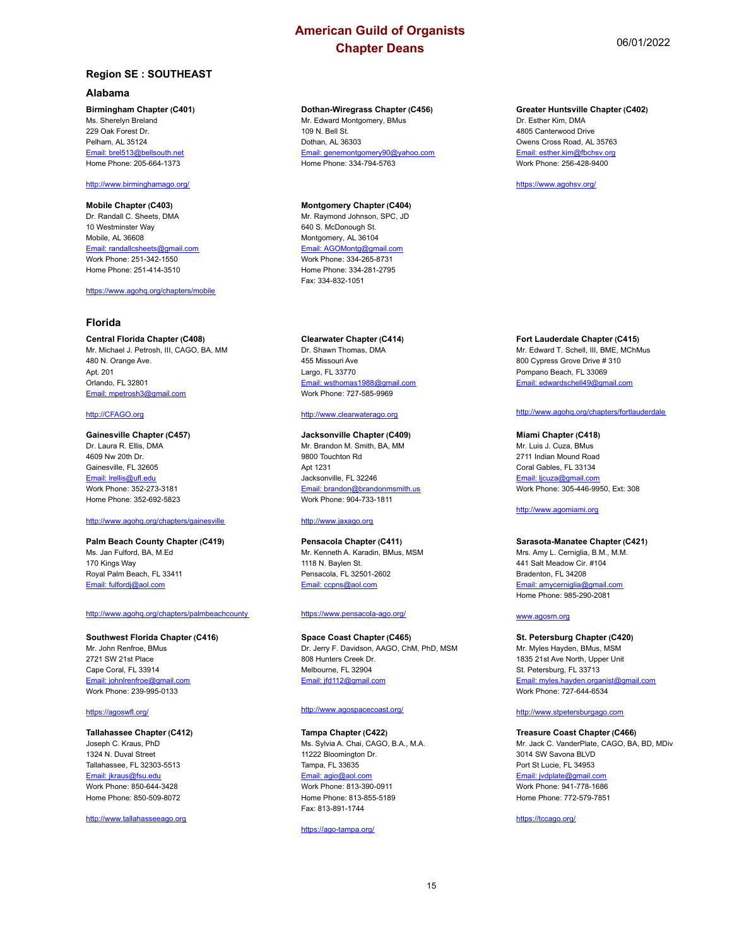## **Region SE : SOUTHEAST**

#### **Alabama**

### **Birmingham Chapter (C401)**

Ms. Sherelyn Breland 229 Oak Forest Dr. Pelham, AL 35124 Email: brel513@bellsouth.net Home Phone: 205-664-1373

### <http://www.birminghamago.org/>

**Mobile Chapter (C403)** Dr. Randall C. Sheets, DMA 10 Westminster Way Mobile, AL 36608 Email: randallcsheets@gmail.com Work Phone: 251-342-1550 Home Phone: 251-414-3510

<https://www.agohq.org/chapters/mobile>

#### **Florida**

#### **Central Florida Chapter (C408)**

Mr. Michael J. Petrosh, III, CAGO, BA, MM 480 N. Orange Ave. Apt. 201 Orlando, FL 32801 Email: mpetrosh3@gmail.com

## <http://CFAGO.org>

#### **Gainesville Chapter (C457)**

Dr. Laura R. Ellis, DMA 4609 Nw 20th Dr. Gainesville, FL 32605 Email: lrellis@ufl.edu Work Phone: 352-273-3181 Home Phone: 352-692-5823

#### <http://www.agohq.org/chapters/gainesville>

**Palm Beach County Chapter (C419)** Ms. Jan Fulford, BA, M.Ed 170 Kings Way Royal Palm Beach, FL 33411 Email: fulfordj@aol.com

## <http://www.agohq.org/chapters/palmbeachcounty>

**Southwest Florida Chapter (C416)** Mr. John Renfroe, BMus 2721 SW 21st Place Cape Coral, FL 33914 Email: johnlrenfroe@gmail.com Work Phone: 239-995-0133

#### <https://agoswfl.org/>

### **Tallahassee Chapter (C412)** Joseph C. Kraus, PhD

1324 N. Duval Street Tallahassee, FL 32303-5513 Email: jkraus@fsu.edu Work Phone: 850-644-3428 Home Phone: 850-509-8072

<http://www.tallahasseeago.org>

## **Dothan-Wiregrass Chapter (C456)**

Mr. Edward Montgomery, BMus 109 N. Bell St. Dothan, AL 36303 Email: genemontgomery90@yahoo.com Home Phone: 334-794-5763

#### **Montgomery Chapter (C404)**

Mr. Raymond Johnson, SPC, JD 640 S. McDonough St. Montgomery, AL 36104 Email: AGOMontg@gmail.com Work Phone: 334-265-8731 Home Phone: 334-281-2795 Fax: 334-832-1051

## **Clearwater Chapter (C414)**

Dr. Shawn Thomas, DMA 455 Missouri Ave Largo, FL 33770 Email: wsthomas1988@gmail.com Work Phone: 727-585-9969

#### <http://www.clearwaterago.org>

#### **Jacksonville Chapter (C409)** Mr. Brandon M. Smith, BA, MM 9800 Touchton Rd Apt 1231 Jacksonville, FL 32246

Email: brandon@brandonmsmith.us Work Phone: 904-733-1811

### <http://www.jaxago.org>

**Pensacola Chapter (C411)** Mr. Kenneth A. Karadin, BMus, MSM 1118 N. Baylen St. Pensacola, FL 32501-2602 Email: ccpns@aol.com

#### <https://www.pensacola-ago.org/>

### **Space Coast Chapter (C465)** Dr. Jerry F. Davidson, AAGO, ChM, PhD, MSM 808 Hunters Creek Dr. Melbourne, FL 32904 Email: jfd112@gmail.com

#### <http://www.agospacecoast.org/>

#### **Tampa Chapter (C422)**

Ms. Sylvia A. Chai, CAGO, B.A., M.A. 11222 Bloomington Dr. Tampa, FL 33635 Email: agio@aol.com Work Phone: 813-390-0911 Home Phone: 813-855-5189 Fax: 813-891-1744

<https://ago-tampa.org/>

#### **Greater Huntsville Chapter (C402)**

Dr. Esther Kim, DMA 4805 Canterwood Drive Owens Cross Road, AL 35763 Email: esther.kim@fbchsv.org Work Phone: 256-428-9400

<https://www.agohsv.org/>

## **Fort Lauderdale Chapter (C415)**

Mr. Edward T. Schell, III, BME, MChMus 800 Cypress Grove Drive # 310 Pompano Beach, FL 33069 Email: edwardschell49@gmail.com

#### <http://www.agohq.org/chapters/fortlauderdale>

#### **Miami Chapter (C418)**

Mr. Luis J. Cuza, BMus 2711 Indian Mound Road Coral Gables, FL 33134 Email: licuza@gmail.com Work Phone: 305-446-9950, Ext: 308

#### <http://www.agomiami.org>

#### **Sarasota-Manatee Chapter (C421)**

Mrs. Amy L. Cerniglia, B.M., M.M. 441 Salt Meadow Cir. #104 Bradenton, FL 34208 Email: amycerniglia@gmail.com Home Phone: 985-290-2081

#### www.agosm.org

#### **St. Petersburg Chapter (C420)** Mr. Myles Hayden, BMus, MSM 1835 21st Ave North, Upper Unit St. Petersburg, FL 33713 Email: myles.hayden.organist@gmail.com Work Phone: 727-644-6534

#### <http://www.stpetersburgago.com>

## **Treasure Coast Chapter (C466)**

Mr. Jack C. VanderPlate, CAGO, BA, BD, MDiv 3014 SW Savona BLVD Port St Lucie, FL 34953 Email: jvdplate@gmail.com Work Phone: 941-778-1686 Home Phone: 772-579-7851

<https://tccago.org/>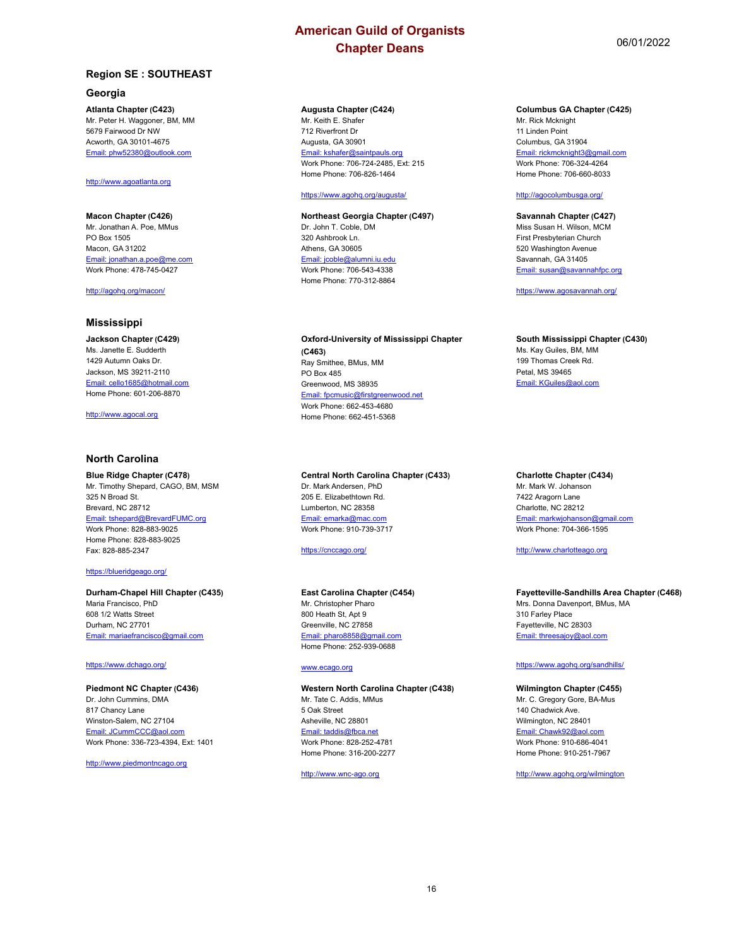## **Region SE : SOUTHEAST**

## **Georgia**

**Atlanta Chapter (C423)** Mr. Peter H. Waggoner, BM, MM 5679 Fairwood Dr NW Acworth, GA 30101-4675 Email: phw52380@outlook.com

#### <http://www.agoatlanta.org>

**Macon Chapter (C426)** Mr. Jonathan A. Poe, MMus PO Box 1505 Macon, GA 31202 Email: jonathan.a.poe@me.com Work Phone: 478-745-0427

<http://agohq.org/macon/>

## **Mississippi**

**Jackson Chapter (C429)** Ms. Janette E. Sudderth 1429 Autumn Oaks Dr. Jackson, MS 39211-2110 Email: cello1685@hotmail.com Home Phone: 601-206-8870

<http://www.agocal.org>

#### **North Carolina**

**Blue Ridge Chapter (C478)** Mr. Timothy Shepard, CAGO, BM, MSM 325 N Broad St. Brevard, NC 28712 Email: tshepard@BrevardFUMC.org Work Phone: 828-883-9025 Home Phone: 828-883-9025 Fax: 828-885-2347

#### <https://blueridgeago.org/>

## **Durham-Chapel Hill Chapter (C435)**

Maria Francisco, PhD 608 1/2 Watts Street Durham, NC 27701 Email: mariaefrancisco@gmail.com

#### <https://www.dchago.org/>

#### **Piedmont NC Chapter (C436)** Dr. John Cummins, DMA 817 Chancy Lane Winston-Salem, NC 27104 ail: JCummCCC@aol.com Work Phone: 336-723-4394, Ext: 1401

<http://www.piedmontncago.org>

## **Augusta Chapter (C424)**

Mr. Keith E. Shafer 712 Riverfront Dr Augusta, GA 30901 Email: kshafer@saintpauls.org Work Phone: 706-724-2485, Ext: 215 Home Phone: 706-826-1464

#### <https://www.agohq.org/augusta/>

**Northeast Georgia Chapter (C497)** Dr. John T. Coble, DM 320 Ashbrook Ln. Athens, GA 30605 Email: jcoble@alumni.iu.edu Work Phone: 706-543-4338 Home Phone: 770-312-8864

**Oxford-University of Mississippi Chapter (C463)** Ray Smithee, BMus, MM PO Box 485 Greenwood, MS 38935 Email: fpcmusic@firstgreenwood.net Work Phone: 662-453-4680 Home Phone: 662-451-5368

## **Central North Carolina Chapter (C433)**

Dr. Mark Andersen, PhD 205 E. Elizabethtown Rd. Lumberton, NC 28358 Email: emarka@mac.com Work Phone: 910-739-3717

<https://cnccago.org/>

## **East Carolina Chapter (C454)**

Mr. Christopher Pharo 800 Heath St, Apt 9 Greenville, NC 27858 Email: pharo8858@gmail.com Home Phone: 252-939-0688

### www.ecago.org

**Western North Carolina Chapter (C438)** Mr. Tate C. Addis, MMus 5 Oak Street Asheville, NC 28801 Email: taddis@fbca.net Work Phone: 828-252-4781 Home Phone: 316-200-2277

<http://www.wnc-ago.org>

#### **Columbus GA Chapter (C425)**

Mr. Rick Mcknight 11 Linden Point Columbus, GA 31904 Email: rickmcknight3@gmail.com Work Phone: 706-324-4264 Home Phone: 706-660-8033

## <http://agocolumbusga.org/>

**Savannah Chapter (C427)** Miss Susan H. Wilson, MCM First Presbyterian Church 520 Washington Avenue Savannah, GA 31405 Email: susan@savannahfpc.org

<https://www.agosavannah.org/>

#### **South Mississippi Chapter (C430)** Ms. Kay Guiles, BM, MM 199 Thomas Creek Rd. Petal, MS 39465 Email: KGuiles@aol.com

## **Charlotte Chapter (C434)**

Mr. Mark W. Johanson 7422 Aragorn Lane Charlotte, NC 28212 Email: markwjohanson@gmail.com Work Phone: 704-366-1595

<http://www.charlotteago.org>

## **Fayetteville-Sandhills Area Chapter (C468)**

Mrs. Donna Davenport, BMus, MA 310 Farley Place Fayetteville, NC 28303 Email: threesajoy@aol.com

#### <https://www.agohq.org/sandhills/>

#### **Wilmington Chapter (C455)** Mr. C. Gregory Gore, BA-Mus 140 Chadwick Ave. Wilmington, NC 28401 Email: Chawk92@aol. Work Phone: 910-686-4041 Home Phone: 910-251-7967

<http://www.agohq.org/wilmington>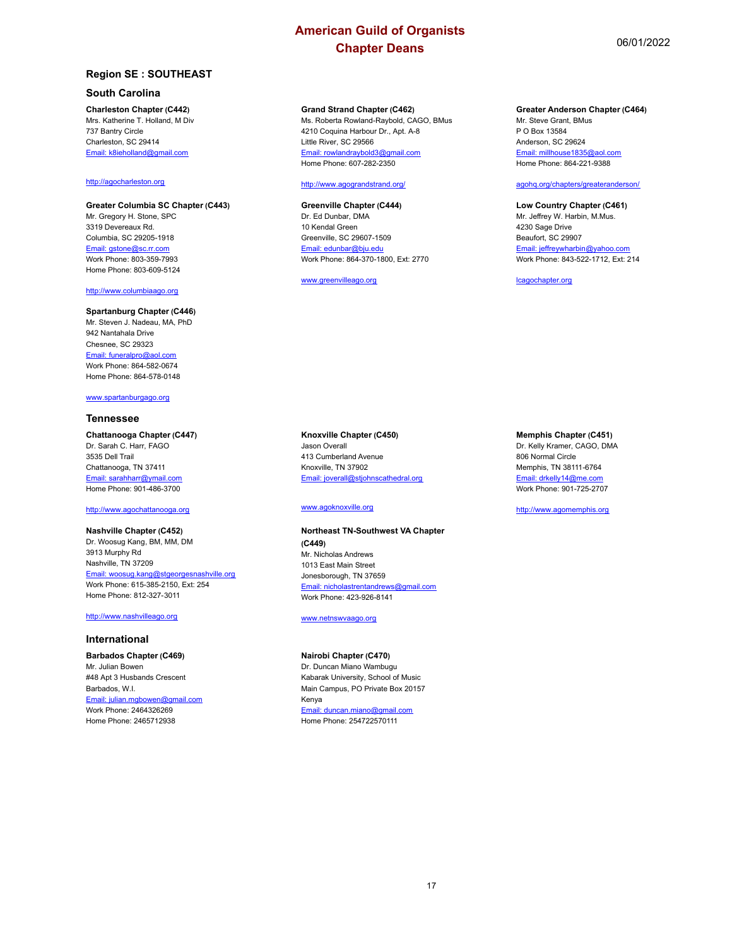## **Region SE : SOUTHEAST**

## **South Carolina**

#### **Charleston Chapter (C442)**

Mrs. Katherine T. Holland, M Div 737 Bantry Circle Charleston, SC 29414 Email: k8ieholland@gmail.com

## <http://agocharleston.org>

**Greater Columbia SC Chapter (C443)** Mr. Gregory H. Stone, SPC 3319 Devereaux Rd. Columbia, SC 29205-1918 Email: gstone@sc.rr.com Work Phone: 803-359-7993 Home Phone: 803-609-5124

#### <http://www.columbiaago.org>

#### **Spartanburg Chapter (C446)** Mr. Steven J. Nadeau, MA, PhD 942 Nantahala Drive

Chesnee, SC 29323 Email: funeralpro@aol.com Work Phone: 864-582-0674 Home Phone: 864-578-0148

#### www.spartanburgago.org

#### **Tennessee**

## **Chattanooga Chapter (C447)**

Dr. Sarah C. Harr, FAGO 3535 Dell Trail Chattanooga, TN 37411 Email: sarahharr@ymail.com Home Phone: 901-486-3700

#### <http://www.agochattanooga.org>

## **Nashville Chapter (C452)**

Dr. Woosug Kang, BM, MM, DM 3913 Murphy Rd Nashville, TN 37209 Email: woosug.kang@stgeorgesnashville.org Work Phone: 615-385-2150, Ext: 254 Home Phone: 812-327-3011

#### <http://www.nashvilleago.org>

#### **International**

**Barbados Chapter (C469)** Mr. Julian Bowen #48 Apt 3 Husbands Crescent Barbados, W.I. Email: julian.mgbowen@gmail.com Work Phone: 2464326269 Home Phone: 2465712938

#### **Grand Strand Chapter (C462)**

Ms. Roberta Rowland-Raybold, CAGO, BMus 4210 Coquina Harbour Dr., Apt. A-8 Little River, SC 29566 Email: rowlandraybold3@gmail.com Home Phone: 607-282-2350

#### <http://www.agograndstrand.org/>

#### **Greenville Chapter (C444)**

Dr. Ed Dunbar, DMA 10 Kendal Green Greenville, SC 29607-1509 Email: edunbar@bju.edu Work Phone: 864-370-1800, Ext: 2770

www.greenvilleago.org

#### **Greater Anderson Chapter (C464)**

Mr. Steve Grant, BMus P O Box 13584 Anderson, SC 29624 Email: millhouse1835@aol.com Home Phone: 864-221-9388

#### agohq.org/chapters/greateranderson/

## **Low Country Chapter (C461)**

Mr. Jeffrey W. Harbin, M.Mus. 4230 Sage Drive Beaufort, SC 29907 Email: jeffreywharbin@yahoo.com Work Phone: 843-522-1712, Ext: 214

lcagochapter.org

## **Knoxville Chapter (C450)**

Jason Overall 413 Cumberland Avenue Knoxville, TN 37902 Email: joverall@stjohnscathedral.org

## www.agoknoxville.org

#### **Northeast TN-Southwest VA Chapter (C449)** Mr. Nicholas Andrews 1013 East Main Street Jonesborough, TN 37659 Email: nicholastrentandrews@gmail.com Work Phone: 423-926-8141

www.netnswvaago.org

## **Nairobi Chapter (C470)**

Dr. Duncan Miano Wambugu Kabarak University, School of Music Main Campus, PO Private Box 20157 Kenya Email: duncan.miano@gmail.com Home Phone: 254722570111

#### **Memphis Chapter (C451)**

Dr. Kelly Kramer, CAGO, DMA 806 Normal Circle Memphis, TN 38111-6764 Email: drkelly14@me.co Work Phone: 901-725-2707

#### <http://www.agomemphis.org>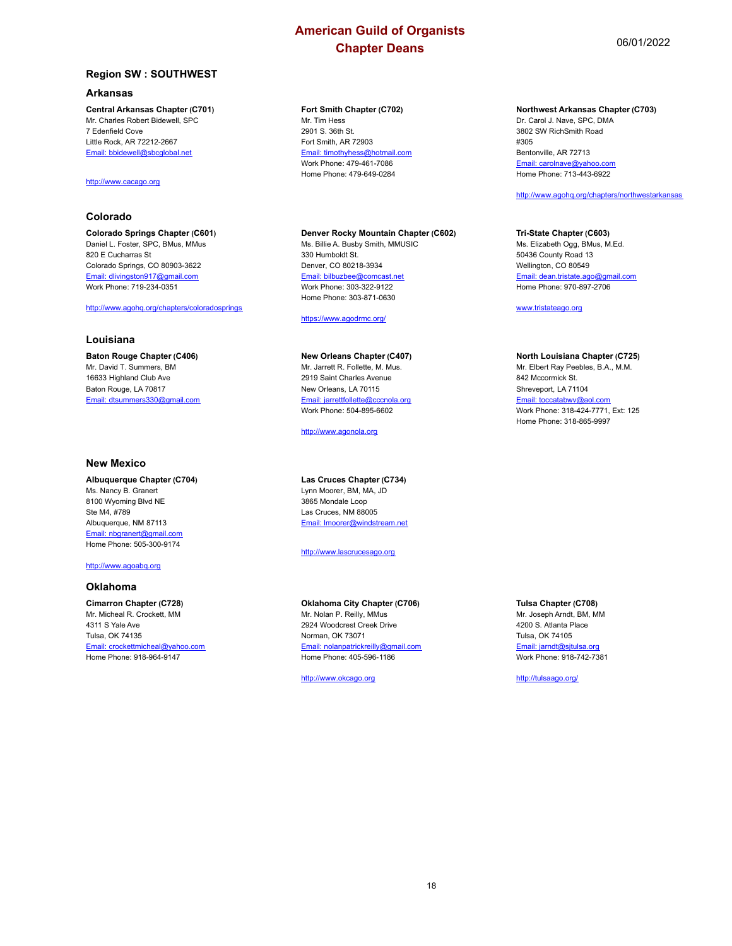## **Region SW : SOUTHWEST**

## **Arkansas**

**Central Arkansas Chapter (C701)** Mr. Charles Robert Bidewell, SPC 7 Edenfield Cove Little Rock, AR 72212-2667 Email: bbidewell@sbcglobal.net

## <http://www.cacago.org>

## **Colorado**

**Colorado Springs Chapter (C601)** Daniel L. Foster, SPC, BMus, MMus 820 E Cucharras St Colorado Springs, CO 80903-3622 Email: dlivingston917@gmail.com Work Phone: 719-234-0351

## <http://www.agohq.org/chapters/coloradosprings>

## **Louisiana**

**Baton Rouge Chapter (C406)** Mr. David T. Summers, BM 16633 Highland Club Ave Baton Rouge, LA 70817 Email: dtsummers330@gmail.com

#### **New Mexico**

**Albuquerque Chapter (C704)** Ms. Nancy B. Granert 8100 Wyoming Blvd NE Ste M4, #789 Albuquerque, NM 87113 Email: nbgranert@gmail.com Home Phone: 505-300-9174

<http://www.agoabq.org>

#### **Oklahoma**

**Cimarron Chapter (C728)** Mr. Micheal R. Crockett, MM 4311 S Yale Ave Tulsa, OK 74135 Email: crockettmicheal@yahoo.com Home Phone: 918-964-9147

#### **Fort Smith Chapter (C702)** Mr. Tim Hess

2901 S. 36th St. Fort Smith, AR 72903 Email: timothyhess@hotmail.com Work Phone: 479-461-7086 Home Phone: 479-649-0284

#### **Denver Rocky Mountain Chapter (C602)**

Ms. Billie A. Busby Smith, MMUSIC 330 Humboldt St. Denver, CO 80218-3934 Email: bilbuzbee@comcast.net Work Phone: 303-322-9122 Home Phone: 303-871-0630

<https://www.agodrmc.org/>

#### **New Orleans Chapter (C407)**

Mr. Jarrett R. Follette, M. Mus. 2919 Saint Charles Avenue New Orleans, LA 70115 Email: jarrettfollette@cccnola.org Work Phone: 504-895-6602

<http://www.agonola.org>

#### **Las Cruces Chapter (C734)**

Lynn Moorer, BM, MA, JD 3865 Mondale Loop Las Cruces, NM 88005 Email: lmoorer@windstream.net

<http://www.lascrucesago.org>

## **Oklahoma City Chapter (C706)**

Mr. Nolan P. Reilly, MMus 2924 Woodcrest Creek Drive Norman, OK 73071 Email: nolanpatrickreilly@gmail.com Home Phone: 405-596-1186

<http://www.okcago.org>

#### **Northwest Arkansas Chapter (C703)**

Dr. Carol J. Nave, SPC, DMA 3802 SW RichSmith Road #305 Bentonville, AR 72713 Email: carolnave@yaho Home Phone: 713-443-6922

#### <http://www.agohq.org/chapters/northwestarkansas>

#### **Tri-State Chapter (C603)**

Ms. Elizabeth Ogg, BMus, M.Ed. 50436 County Road 13 Wellington, CO 80549 Email: dean.tristate.ago@gmail.com Home Phone: 970-897-2706

www.tristateago.org

#### **North Louisiana Chapter (C725)**

Mr. Elbert Ray Peebles, B.A., M.M. 842 Mccormick St. Shreveport, LA 71104 Email: toccatabwv@aol.com Work Phone: 318-424-7771, Ext: 125 Home Phone: 318-865-9997

## **Tulsa Chapter (C708)**

Mr. Joseph Arndt, BM, MM 4200 S. Atlanta Place Tulsa, OK 74105 Email: jarndt@sjtulsa.org Work Phone: 918-742-7381

<http://tulsaago.org/>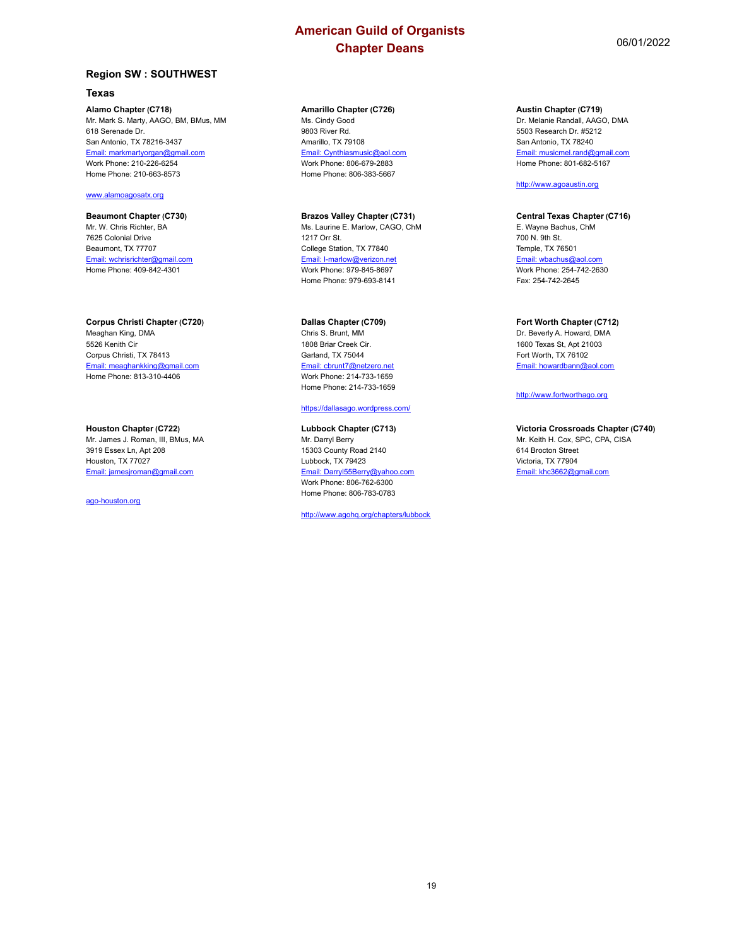## **Region SW : SOUTHWEST**

## **Texas**

**Alamo Chapter (C718)** Mr. Mark S. Marty, AAGO, BM, BMus, MM 618 Serenade Dr. San Antonio, TX 78216-3437 Email: markmartyorgan@gmail.com Work Phone: 210-226-6254 Home Phone: 210-663-8573

## www.alamoagosatx.org

**Beaumont Chapter (C730)** Mr. W. Chris Richter, BA 7625 Colonial Drive Beaumont, TX 77707 Email: wchrisrichter@gmail.com Home Phone: 409-842-4301

**Corpus Christi Chapter (C720)** Meaghan King, DMA 5526 Kenith Cir Corpus Christi, TX 78413 Email: meaghankking@gmail.com Home Phone: 813-310-4406

#### **Houston Chapter (C722)**

Mr. James J. Roman, III, BMus, MA 3919 Essex Ln, Apt 208 Houston, TX 77027 Email: jamesjroman@gmail.com

ago-houston.org

## **Amarillo Chapter (C726)**

Ms. Cindy Good 9803 River Rd. Amarillo, TX 79108 Email: Cynthiasmusic@aol.com Work Phone: 806-679-2883 Home Phone: 806-383-5667

**Brazos Valley Chapter (C731)** Ms. Laurine E. Marlow, CAGO, ChM 1217 Orr St. College Station, TX 77840 Email: l-marlow@verizon.net Work Phone: 979-845-8697 Home Phone: 979-693-8141

#### **Dallas Chapter (C709)**

Chris S. Brunt, MM 1808 Briar Creek Cir. Garland, TX 75044 Email: cbrunt7@netzero.net Work Phone: 214-733-1659 Home Phone: 214-733-1659

## <https://dallasago.wordpress.com/>

**Lubbock Chapter (C713)** Mr. Darryl Berry 15303 County Road 2140 Lubbock, TX 79423 Email: Darryl55Berry@yahoo.com Work Phone: 806-762-6300 Home Phone: 806-783-0783

<http://www.agohq.org/chapters/lubbock>

**Austin Chapter (C719)** Dr. Melanie Randall, AAGO, DMA 5503 Research Dr. #5212 San Antonio, TX 78240 Email: musicmel.rand@gmail.com Home Phone: 801-682-5167

#### <http://www.agoaustin.org>

#### **Central Texas Chapter (C716)**

E. Wayne Bachus, ChM 700 N. 9th St. Temple, TX 76501 Email: wbachus@aol.com Work Phone: 254-742-2630 Fax: 254-742-2645

## **Fort Worth Chapter (C712)**

Dr. Beverly A. Howard, DMA 1600 Texas St, Apt 21003 Fort Worth, TX 76102 Email: howardbann@aol.com

### <http://www.fortworthago.org>

**Victoria Crossroads Chapter (C740)** Mr. Keith H. Cox, SPC, CPA, CISA 614 Brocton Street Victoria, TX 77904 Email: khc3662@gmail.com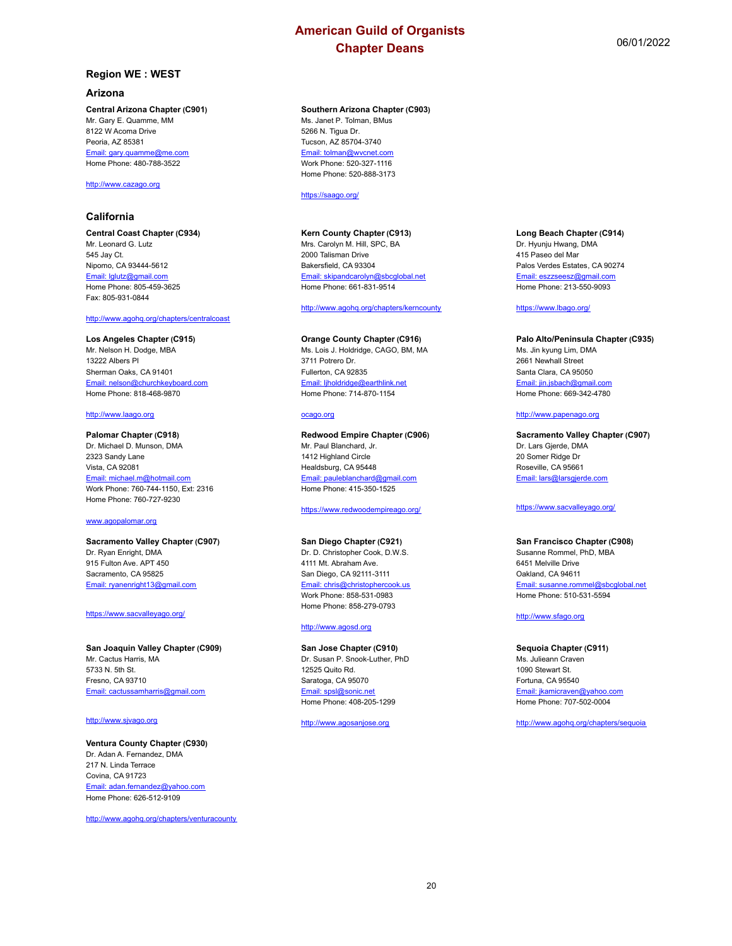## **Region WE : WEST**

#### **Arizona**

**Central Arizona Chapter (C901)** Mr. Gary E. Quamme, MM 8122 W Acoma Drive Peoria, AZ 85381 Email: gary.quamme@me.com Home Phone: 480-788-3522

## <http://www.cazago.org>

## **California**

**Central Coast Chapter (C934)** Mr. Leonard G. Lutz 545 Jay Ct. Nipomo, CA 93444-5612 Email: lglutz@gmail.com Home Phone: 805-459-3625 Fax: 805-931-0844

## <http://www.agohq.org/chapters/centralcoast>

**Los Angeles Chapter (C915)** Mr. Nelson H. Dodge, MBA 13222 Albers Pl Sherman Oaks, CA 91401 Email: nelson@churchkeyboard.com Home Phone: 818-468-9870

#### <http://www.laago.org>

**Palomar Chapter (C918)** Dr. Michael D. Munson, DMA 2323 Sandy Lane Vista, CA 92081 Email: michael.m@hotmail.com Work Phone: 760-744-1150, Ext: 2316 Home Phone: 760-727-9230

#### www.agopalomar.org

**Sacramento Valley Chapter (C907)** Dr. Ryan Enright, DMA 915 Fulton Ave. APT 450 Sacramento, CA 95825 Email: ryanenright13@gmail.com

## <https://www.sacvalleyago.org/>

**San Joaquin Valley Chapter (C909)** Mr. Cactus Harris, MA 5733 N. 5th St. Fresno, CA 93710 Email: cactussamharris@gmail.com

#### <http://www.sjvago.org>

#### **Ventura County Chapter (C930)**

Dr. Adan A. Fernandez, DMA 217 N. Linda Terrace Covina, CA 91723 Email: adan.fernandez@yahoo.com Home Phone: 626-512-9109

<http://www.agohq.org/chapters/venturacounty>

## **Southern Arizona Chapter (C903)**

Ms. Janet P. Tolman, BMus 5266 N. Tigua Dr. Tucson, AZ 85704-3740 Email: tolman@wvcnet.com Work Phone: 520-327-1116 Home Phone: 520-888-3173

## <https://saago.org/>

**Kern County Chapter (C913)** Mrs. Carolyn M. Hill, SPC, BA 2000 Talisman Drive Bakersfield, CA 93304 Email: skipandcarolyn@sbcglobal.net Home Phone: 661-831-9514

<http://www.agohq.org/chapters/kerncounty>

#### **Orange County Chapter (C916)** Ms. Lois J. Holdridge, CAGO, BM, MA 3711 Potrero Dr. Fullerton, CA 92835 Email: ljholdridge@earthlink.net Home Phone: 714-870-1154

#### ocago.org

**Redwood Empire Chapter (C906)** Mr. Paul Blanchard, Jr. 1412 Highland Circle Healdsburg, CA 95448 Email: pauleblanchard@gmail.com Home Phone: 415-350-1525

## <https://www.redwoodempireago.org/>

#### **San Diego Chapter (C921)**

Dr. D. Christopher Cook, D.W.S. 4111 Mt. Abraham Ave. San Diego, CA 92111-3111 Email: chris@christophercook.us Work Phone: 858-531-0983 Home Phone: 858-279-0793

#### <http://www.agosd.org>

**San Jose Chapter (C910)** Dr. Susan P. Snook-Luther, PhD 12525 Quito Rd. Saratoga, CA 95070 Email: spsl@sonic.net Home Phone: 408-205-1299

#### <http://www.agosanjose.org>

**Long Beach Chapter (C914)** Dr. Hyunju Hwang, DMA 415 Paseo del Mar Palos Verdes Estates, CA 90274 Email: eszzseesz@gmail.com Home Phone: 213-550-9093

#### <https://www.lbago.org/>

**Palo Alto/Peninsula Chapter (C935)** Ms. Jin kyung Lim, DMA 2661 Newhall Street Santa Clara, CA 95050 Email: jin.jsbach@gmail.com Home Phone: 669-342-4780

## <http://www.papenago.org>

**Sacramento Valley Chapter (C907)** Dr. Lars Gjerde, DMA 20 Somer Ridge Dr Roseville, CA 95661 Email: lars@larsgjerde.com

#### <https://www.sacvalleyago.org/>

#### **San Francisco Chapter (C908)**

Susanne Rommel, PhD, MBA 6451 Melville Drive Oakland, CA 94611 Email: susanne.rommel@sbcglobal.net Home Phone: 510-531-5594

## <http://www.sfago.org>

#### **Sequoia Chapter (C911)**

Ms. Julieann Craven 1090 Stewart St. Fortuna, CA 95540 Email: jkamicraven@yahoo.com Home Phone: 707-502-0004

<http://www.agohq.org/chapters/sequoia>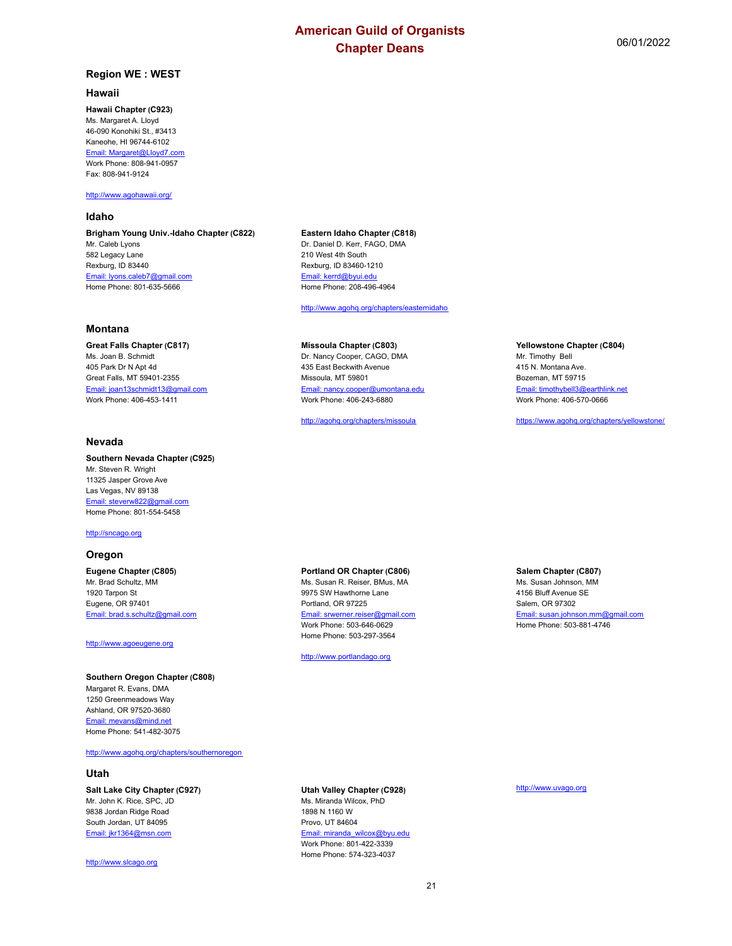#### **Hawaii**

#### **Hawaii Chapter (C923)**

Ms. Margaret A. Lloyd 46-090 Konohiki St., #3413 Kaneohe, HI 96744-6102 Email: Margaret@Lloyd7.com Work Phone: 808-941-0957 Fax: 808-941-9124

#### <http://www.agohawaii.org/>

#### **Idaho**

**Brigham Young Univ.-Idaho Chapter (C822)** Mr. Caleb Lyons 582 Legacy Lane Rexburg, ID 83440 Email: lyons.caleb7@gmail.com Home Phone: 801-635-5666

### **Montana**

**Great Falls Chapter (C817)** Ms. Joan B. Schmidt 405 Park Dr N Apt 4d Great Falls, MT 59401-2355 Email: joan13schmidt13@gmail.com Work Phone: 406-453-1411

## **Nevada**

**Southern Nevada Chapter (C925)** Mr. Steven R. Wright 11325 Jasper Grove Ave Las Vegas, NV 89138 Email: steverw822@gmail.com Home Phone: 801-554-5458

<http://sncago.org>

#### **Oregon**

**Eugene Chapter (C805)** Mr. Brad Schultz, MM 1920 Tarpon St Eugene, OR 97401 Email: brad.s.schultz@gmail.com

#### <http://www.agoeugene.org>

Home Phone: 541-482-3075

#### **Southern Oregon Chapter (C808)** Margaret R. Evans, DMA 1250 Greenmeadows Way Ashland, OR 97520-3680 Email: mevans@mind.net

#### <http://www.agohq.org/chapters/southernoregon>

## **Utah**

**Salt Lake City Chapter (C927)** Mr. John K. Rice, SPC, JD 9838 Jordan Ridge Road South Jordan, UT 84095 Email: jkr1364@msn.com

<http://www.slcago.org>

#### **Eastern Idaho Chapter (C818)** Dr. Daniel D. Kerr, FAGO, DMA 210 West 4th South

Rexburg, ID 83460-1210 Email: kerrd@byui.edu Home Phone: 208-496-4964

<http://www.agohq.org/chapters/easternidaho>

#### **Missoula Chapter (C803)**

Dr. Nancy Cooper, CAGO, DMA 435 East Beckwith Avenue Missoula, MT 59801 Email: nancy.cooper@umontana.edu Work Phone: 406-243-6880

<http://agohq.org/chapters/missoula>

#### **Yellowstone Chapter (C804)**

Mr. Timothy Bell 415 N. Montana Ave. Bozeman, MT 59715 Email: timothybell3@earthlink.net Work Phone: 406-570-0666

<https://www.agohq.org/chapters/yellowstone/>

## **Portland OR Chapter (C806)**

Ms. Susan R. Reiser, BMus, MA 9975 SW Hawthorne Lane Portland, OR 97225 Email: srwerner.reiser@gmail.com Work Phone: 503-646-0629 Home Phone: 503-297-3564

<http://www.portlandago.org>

## **Salem Chapter (C807)**

Ms. Susan Johnson, MM 4156 Bluff Avenue SE Salem, OR 97302 Email: susan.johnson.mm@gmail.com Home Phone: 503-881-4746

**Utah Valley Chapter (C928)** Ms. Miranda Wilcox, PhD

1898 N 1160 W Provo, UT 84604 Email: miranda\_wilcox@byu.edu Work Phone: 801-422-3339 Home Phone: 574-323-4037

### <http://www.uvago.org>

21